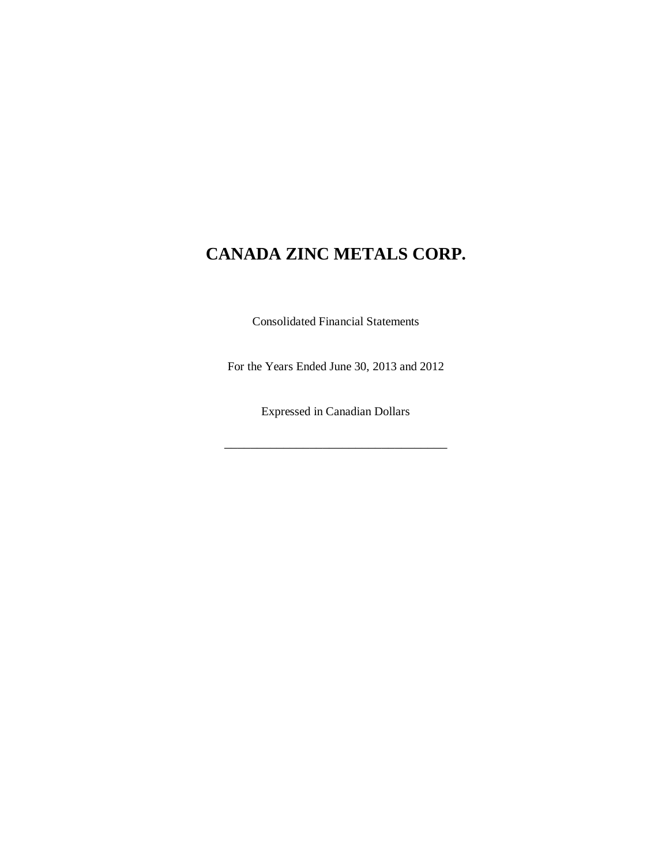Consolidated Financial Statements

For the Years Ended June 30, 2013 and 2012

Expressed in Canadian Dollars

\_\_\_\_\_\_\_\_\_\_\_\_\_\_\_\_\_\_\_\_\_\_\_\_\_\_\_\_\_\_\_\_\_\_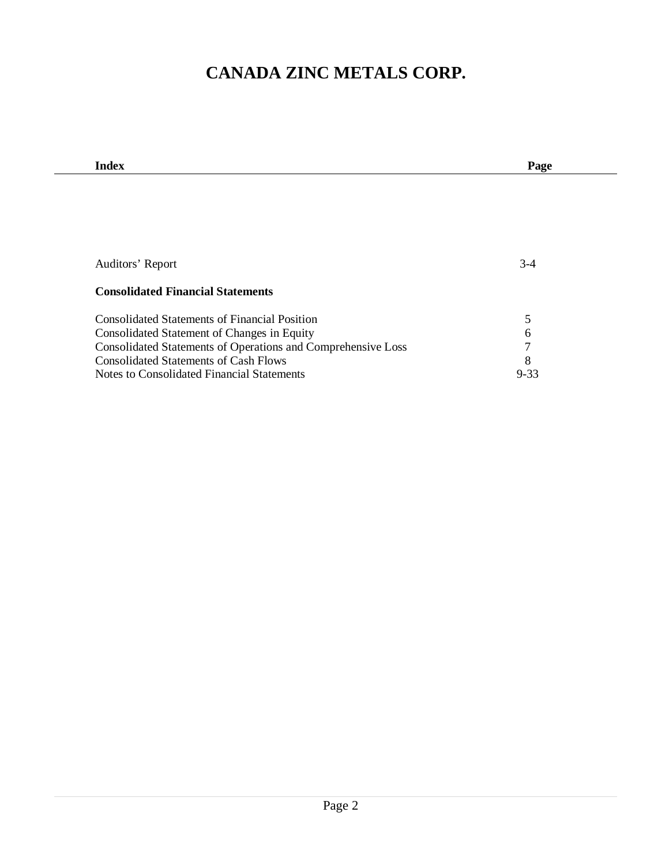| <b>Index</b>                                                 | Page     |
|--------------------------------------------------------------|----------|
|                                                              |          |
|                                                              |          |
|                                                              |          |
|                                                              |          |
|                                                              |          |
|                                                              |          |
| Auditors' Report                                             | $3-4$    |
|                                                              |          |
| <b>Consolidated Financial Statements</b>                     |          |
| <b>Consolidated Statements of Financial Position</b>         |          |
|                                                              | 5        |
| Consolidated Statement of Changes in Equity                  | 6        |
| Consolidated Statements of Operations and Comprehensive Loss | 7        |
| <b>Consolidated Statements of Cash Flows</b>                 | 8        |
| Notes to Consolidated Financial Statements                   | $9 - 33$ |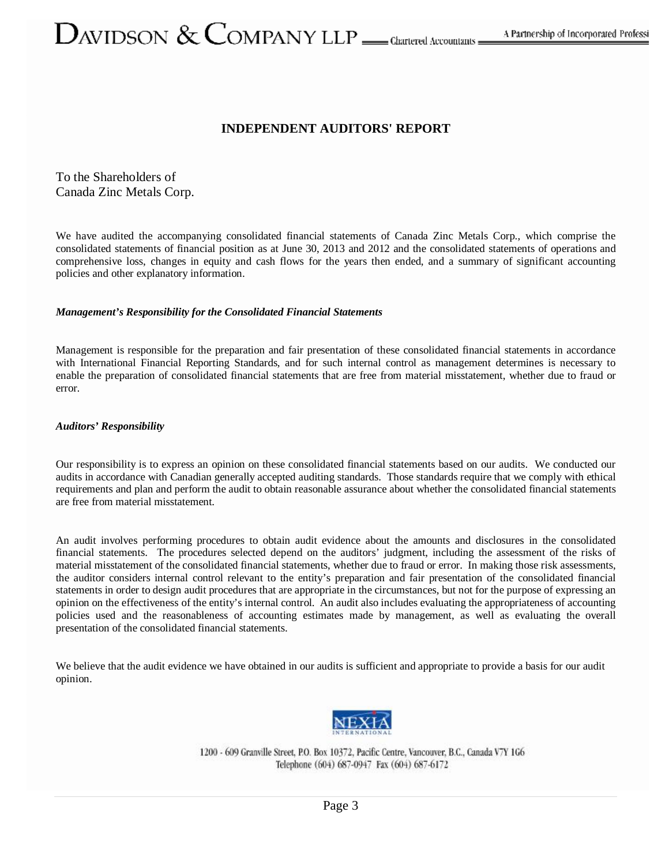# ${\cal O}$ AVIDSON  $\&$  COMPANY LLP  $\_\_$  cleartered Accountants =

# **INDEPENDENT AUDITORS' REPORT**

To the Shareholders of Canada Zinc Metals Corp.

We have audited the accompanying consolidated financial statements of Canada Zinc Metals Corp., which comprise the consolidated statements of financial position as at June 30, 2013 and 2012 and the consolidated statements of operations and comprehensive loss, changes in equity and cash flows for the years then ended, and a summary of significant accounting policies and other explanatory information.

#### *Management's Responsibility for the Consolidated Financial Statements*

Management is responsible for the preparation and fair presentation of these consolidated financial statements in accordance with International Financial Reporting Standards, and for such internal control as management determines is necessary to enable the preparation of consolidated financial statements that are free from material misstatement, whether due to fraud or error.

#### *Auditors' Responsibility*

Our responsibility is to express an opinion on these consolidated financial statements based on our audits. We conducted our audits in accordance with Canadian generally accepted auditing standards. Those standards require that we comply with ethical requirements and plan and perform the audit to obtain reasonable assurance about whether the consolidated financial statements are free from material misstatement.

An audit involves performing procedures to obtain audit evidence about the amounts and disclosures in the consolidated financial statements. The procedures selected depend on the auditors' judgment, including the assessment of the risks of material misstatement of the consolidated financial statements, whether due to fraud or error. In making those risk assessments, the auditor considers internal control relevant to the entity's preparation and fair presentation of the consolidated financial statements in order to design audit procedures that are appropriate in the circumstances, but not for the purpose of expressing an opinion on the effectiveness of the entity's internal control. An audit also includes evaluating the appropriateness of accounting policies used and the reasonableness of accounting estimates made by management, as well as evaluating the overall presentation of the consolidated financial statements.

We believe that the audit evidence we have obtained in our audits is sufficient and appropriate to provide a basis for our audit opinion.



1200 - 609 Granville Street, P.O. Box 10372, Pacific Centre, Vancouver, B.C., Canada V7Y 1G6 Telephone (604) 687-0947 Fax (604) 687-6172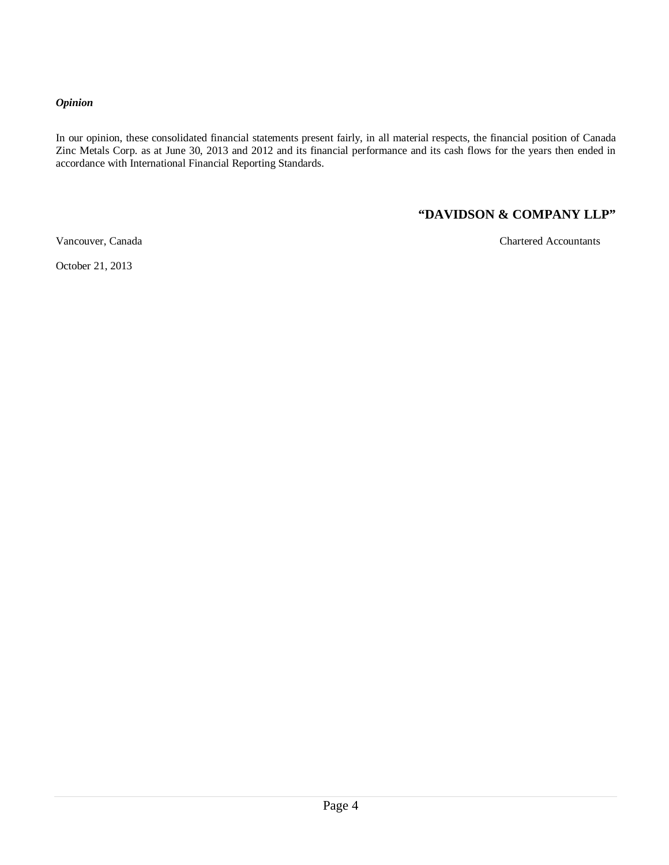#### *Opinion*

In our opinion, these consolidated financial statements present fairly, in all material respects, the financial position of Canada Zinc Metals Corp. as at June 30, 2013 and 2012 and its financial performance and its cash flows for the years then ended in accordance with International Financial Reporting Standards.

# **"DAVIDSON & COMPANY LLP"**

Vancouver, Canada Chartered Accountants

October 21, 2013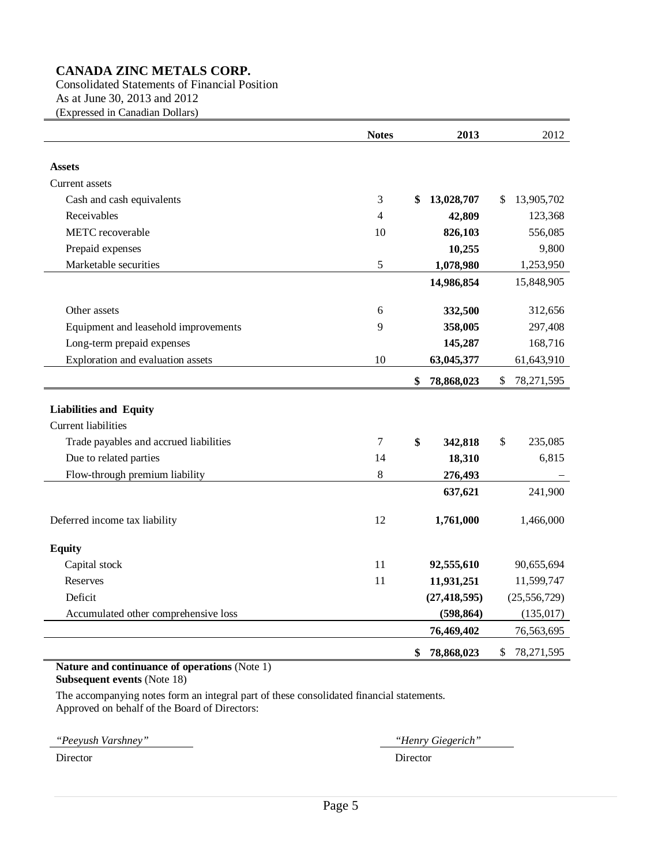Consolidated Statements of Financial Position As at June 30, 2013 and 2012 (Expressed in Canadian Dollars)

|                                        | <b>Notes</b> | 2013             | 2012               |
|----------------------------------------|--------------|------------------|--------------------|
|                                        |              |                  |                    |
| <b>Assets</b>                          |              |                  |                    |
| Current assets                         |              |                  |                    |
| Cash and cash equivalents              | 3            | 13,028,707<br>\$ | 13,905,702<br>\$   |
| Receivables                            | 4            | 42,809           | 123,368            |
| METC recoverable                       | 10           | 826,103          | 556,085            |
| Prepaid expenses                       |              | 10,255           | 9,800              |
| Marketable securities                  | 5            | 1,078,980        | 1,253,950          |
|                                        |              | 14,986,854       | 15,848,905         |
| Other assets                           | 6            | 332,500          | 312,656            |
| Equipment and leasehold improvements   | 9            | 358,005          | 297,408            |
| Long-term prepaid expenses             |              | 145,287          | 168,716            |
| Exploration and evaluation assets      | 10           | 63,045,377       | 61,643,910         |
|                                        |              | \$<br>78,868,023 | \$<br>78, 271, 595 |
|                                        |              |                  |                    |
| <b>Liabilities and Equity</b>          |              |                  |                    |
| <b>Current liabilities</b>             |              |                  |                    |
| Trade payables and accrued liabilities | 7            | \$<br>342,818    | \$<br>235,085      |
| Due to related parties                 | 14           | 18,310           | 6,815              |
| Flow-through premium liability         | 8            | 276,493          |                    |
|                                        |              | 637,621          | 241,900            |
| Deferred income tax liability          | 12           | 1,761,000        | 1,466,000          |
| <b>Equity</b>                          |              |                  |                    |
| Capital stock                          | 11           | 92,555,610       | 90,655,694         |
| Reserves                               | 11           | 11,931,251       | 11,599,747         |
| Deficit                                |              | (27, 418, 595)   | (25, 556, 729)     |
| Accumulated other comprehensive loss   |              | (598, 864)       | (135, 017)         |
|                                        |              | 76,469,402       | 76,563,695         |
|                                        |              | \$<br>78,868,023 | \$<br>78,271,595   |

#### **Nature and continuance of operations** (Note 1)

**Subsequent events** (Note 18)

The accompanying notes form an integral part of these consolidated financial statements. Approved on behalf of the Board of Directors:

*"Peeyush Varshney" "Henry Giegerich"*  Director Director Director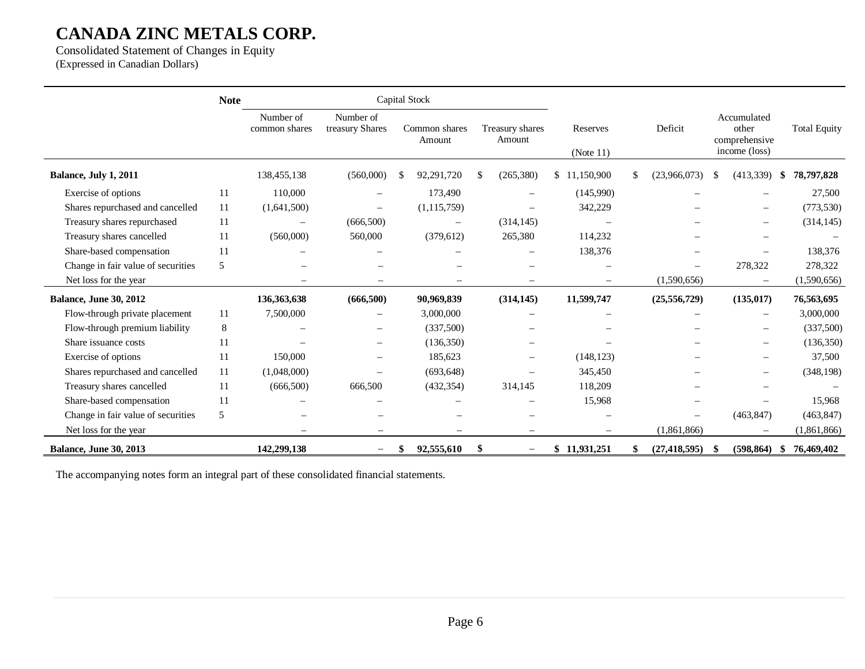Consolidated Statement of Changes in Equity (Expressed in Canadian Dollars)

|                                    | <b>Note</b> |                            | Capital Stock                |    |                          |    |                           |              |                          |                    |     |                                                        |               |                     |
|------------------------------------|-------------|----------------------------|------------------------------|----|--------------------------|----|---------------------------|--------------|--------------------------|--------------------|-----|--------------------------------------------------------|---------------|---------------------|
|                                    |             | Number of<br>common shares | Number of<br>treasury Shares |    | Common shares<br>Amount  |    | Treasury shares<br>Amount |              | Reserves<br>(Note 11)    | Deficit            |     | Accumulated<br>other<br>comprehensive<br>income (loss) |               | <b>Total Equity</b> |
| Balance, July 1, 2011              |             | 138,455,138                | (560,000)                    | S  | 92,291,720               | \$ | (265, 380)                | \$11,150,900 |                          | \$<br>(23,966,073) | -S  | (413,339)                                              | \$            | 78,797,828          |
| Exercise of options                | 11          | 110,000                    |                              |    | 173,490                  |    | $\equiv$                  |              | (145,990)                |                    |     |                                                        |               | 27,500              |
| Shares repurchased and cancelled   | 11          | (1,641,500)                | $\overline{\phantom{m}}$     |    | (1, 115, 759)            |    |                           |              | 342,229                  |                    |     | $\sim$                                                 |               | (773, 530)          |
| Treasury shares repurchased        | 11          | $\overline{\phantom{0}}$   | (666,500)                    |    | $\overline{\phantom{0}}$ |    | (314, 145)                |              |                          |                    |     |                                                        |               | (314, 145)          |
| Treasury shares cancelled          | 11          | (560,000)                  | 560,000                      |    | (379, 612)               |    | 265,380                   |              | 114,232                  |                    |     | $\overline{\phantom{0}}$                               |               |                     |
| Share-based compensation           | 11          |                            |                              |    |                          |    |                           |              | 138,376                  |                    |     |                                                        |               | 138,376             |
| Change in fair value of securities | 5           |                            |                              |    |                          |    | $\overline{\phantom{0}}$  |              | $\overline{\phantom{0}}$ |                    |     | 278,322                                                |               | 278,322             |
| Net loss for the year              |             |                            | $\equiv$                     |    |                          |    | $\qquad \qquad -$         |              | $\overline{\phantom{m}}$ | (1,590,656)        |     | $\overline{\phantom{m}}$                               |               | (1,590,656)         |
| <b>Balance, June 30, 2012</b>      |             | 136, 363, 638              | (666,500)                    |    | 90,969,839               |    | (314, 145)                |              | 11,599,747               | (25, 556, 729)     |     | (135, 017)                                             |               | 76,563,695          |
| Flow-through private placement     | 11          | 7,500,000                  |                              |    | 3,000,000                |    |                           |              |                          |                    |     |                                                        |               | 3,000,000           |
| Flow-through premium liability     | 8           |                            | $\overline{\phantom{m}}$     |    | (337,500)                |    |                           |              |                          |                    |     | $\sim$                                                 |               | (337,500)           |
| Share issuance costs               | 11          |                            |                              |    | (136, 350)               |    |                           |              |                          |                    |     |                                                        |               | (136, 350)          |
| Exercise of options                | 11          | 150,000                    | $\overline{\phantom{m}}$     |    | 185,623                  |    | $\overline{\phantom{m}}$  |              | (148, 123)               |                    |     | $\qquad \qquad -$                                      |               | 37,500              |
| Shares repurchased and cancelled   | -11         | (1,048,000)                |                              |    | (693, 648)               |    |                           |              | 345,450                  |                    |     |                                                        |               | (348, 198)          |
| Treasury shares cancelled          | -11         | (666, 500)                 | 666,500                      |    | (432, 354)               |    | 314,145                   |              | 118,209                  |                    |     |                                                        |               |                     |
| Share-based compensation           | 11          |                            |                              |    |                          |    |                           |              | 15,968                   |                    |     |                                                        |               | 15.968              |
| Change in fair value of securities | 5           |                            |                              |    |                          |    | $\sim$                    |              |                          |                    |     | (463, 847)                                             |               | (463, 847)          |
| Net loss for the year              |             |                            |                              |    |                          |    |                           |              |                          | (1,861,866)        |     |                                                        |               | (1,861,866)         |
| <b>Balance, June 30, 2013</b>      |             | 142,299,138                | $\qquad \qquad -$            | \$ | 92,555,610               | \$ | $\overline{\phantom{m}}$  | \$11,931,251 |                          | (27, 418, 595)     | -\$ | (598, 864)                                             | $\mathbf{\$}$ | 76,469,402          |

The accompanying notes form an integral part of these consolidated financial statements.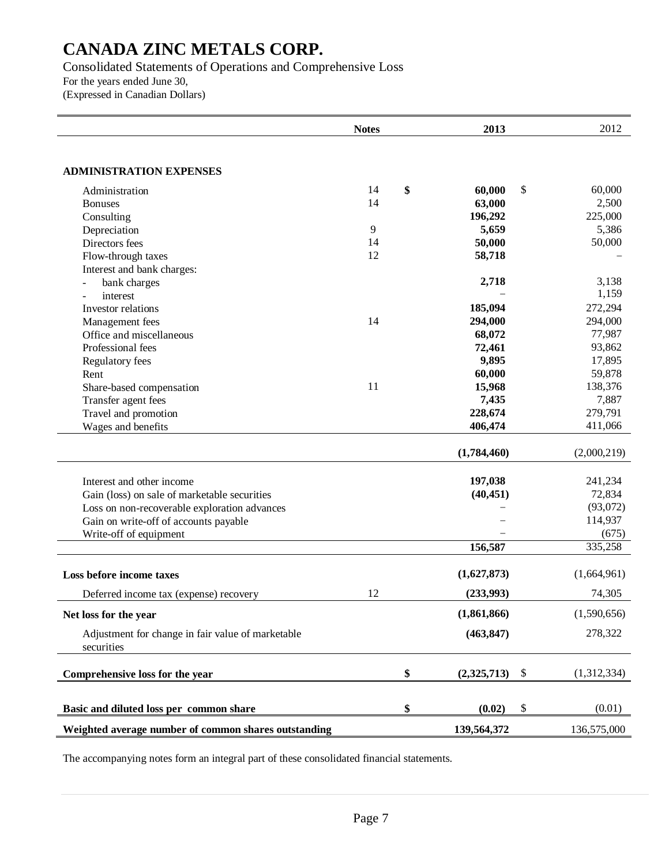Consolidated Statements of Operations and Comprehensive Loss For the years ended June 30, (Expressed in Canadian Dollars)

|                                                                 | <b>Notes</b> | 2013              |               | 2012        |
|-----------------------------------------------------------------|--------------|-------------------|---------------|-------------|
|                                                                 |              |                   |               |             |
| <b>ADMINISTRATION EXPENSES</b>                                  |              |                   |               |             |
| Administration                                                  | 14           | \$<br>60,000      | \$            | 60,000      |
| <b>Bonuses</b>                                                  | 14           | 63,000            |               | 2,500       |
| Consulting                                                      |              | 196,292           |               | 225,000     |
| Depreciation                                                    | 9            | 5,659             |               | 5,386       |
| Directors fees                                                  | 14           | 50,000            |               | 50,000      |
| Flow-through taxes                                              | 12           | 58,718            |               |             |
| Interest and bank charges:                                      |              |                   |               |             |
| bank charges                                                    |              | 2,718             |               | 3,138       |
| interest                                                        |              |                   |               | 1,159       |
| Investor relations                                              |              | 185,094           |               | 272,294     |
| Management fees                                                 | 14           | 294,000           |               | 294,000     |
| Office and miscellaneous                                        |              | 68,072            |               | 77,987      |
| Professional fees                                               |              | 72,461            |               | 93,862      |
| Regulatory fees                                                 |              | 9,895             |               | 17,895      |
| Rent                                                            |              | 60,000            |               | 59,878      |
| Share-based compensation                                        | 11           | 15,968            |               | 138,376     |
| Transfer agent fees                                             |              | 7,435             |               | 7,887       |
| Travel and promotion                                            |              | 228,674           |               | 279,791     |
| Wages and benefits                                              |              | 406,474           |               | 411,066     |
|                                                                 |              |                   |               |             |
|                                                                 |              | (1,784,460)       |               | (2,000,219) |
| Interest and other income                                       |              | 197,038           |               | 241,234     |
| Gain (loss) on sale of marketable securities                    |              | (40, 451)         |               | 72,834      |
|                                                                 |              |                   |               | (93,072)    |
| Loss on non-recoverable exploration advances                    |              |                   |               | 114,937     |
| Gain on write-off of accounts payable<br>Write-off of equipment |              |                   |               | (675)       |
|                                                                 |              | 156,587           |               | 335,258     |
|                                                                 |              |                   |               |             |
| Loss before income taxes                                        |              | (1,627,873)       |               | (1,664,961) |
| Deferred income tax (expense) recovery                          | 12           | (233,993)         |               | 74,305      |
| Net loss for the year                                           |              | (1,861,866)       |               | (1,590,656) |
| Adjustment for change in fair value of marketable<br>securities |              | (463, 847)        |               | 278,322     |
| Comprehensive loss for the year                                 |              | \$<br>(2,325,713) | $\mathcal{S}$ | (1,312,334) |
|                                                                 |              |                   |               |             |
| Basic and diluted loss per common share                         |              | \$<br>(0.02)      | \$            | (0.01)      |
| Weighted average number of common shares outstanding            |              | 139,564,372       |               | 136,575,000 |

The accompanying notes form an integral part of these consolidated financial statements.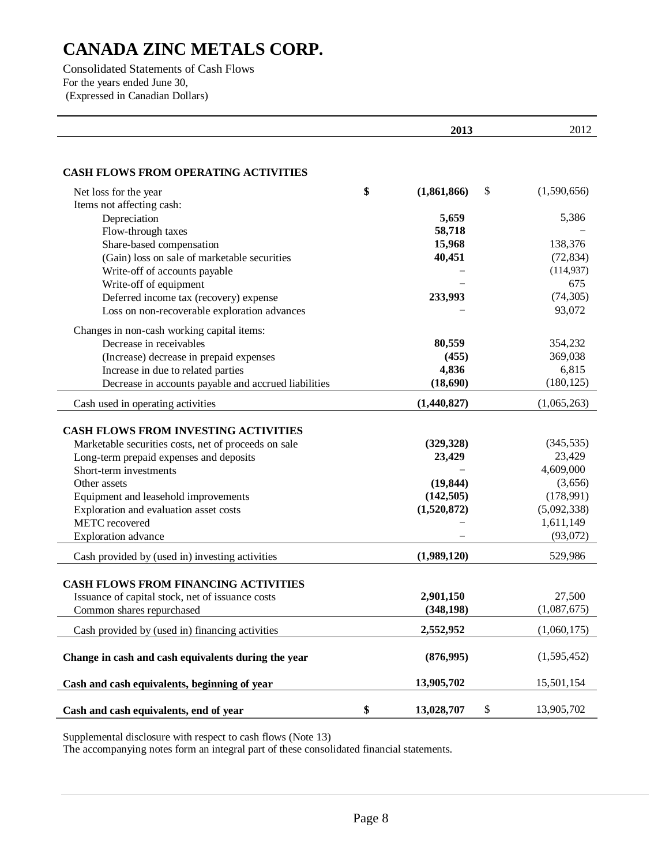Consolidated Statements of Cash Flows For the years ended June 30, (Expressed in Canadian Dollars)

|                                                                          | 2013                   | 2012                    |
|--------------------------------------------------------------------------|------------------------|-------------------------|
| <b>CASH FLOWS FROM OPERATING ACTIVITIES</b>                              |                        |                         |
|                                                                          | \$                     |                         |
| Net loss for the year                                                    | (1,861,866)<br>\$      | (1,590,656)             |
| Items not affecting cash:                                                | 5,659                  | 5,386                   |
| Depreciation                                                             |                        |                         |
| Flow-through taxes                                                       | 58,718                 | 138,376                 |
| Share-based compensation<br>(Gain) loss on sale of marketable securities | 15,968<br>40,451       |                         |
|                                                                          |                        | (72, 834)<br>(114, 937) |
| Write-off of accounts payable                                            |                        | 675                     |
| Write-off of equipment                                                   |                        | (74, 305)               |
| Deferred income tax (recovery) expense                                   | 233,993                |                         |
| Loss on non-recoverable exploration advances                             |                        | 93,072                  |
| Changes in non-cash working capital items:                               |                        |                         |
| Decrease in receivables                                                  | 80,559                 | 354,232                 |
| (Increase) decrease in prepaid expenses                                  | (455)                  | 369,038                 |
| Increase in due to related parties                                       | 4,836                  | 6,815                   |
| Decrease in accounts payable and accrued liabilities                     | (18,690)               | (180, 125)              |
| Cash used in operating activities                                        | (1,440,827)            | (1,065,263)             |
|                                                                          |                        |                         |
| <b>CASH FLOWS FROM INVESTING ACTIVITIES</b>                              |                        |                         |
| Marketable securities costs, net of proceeds on sale                     | (329, 328)             | (345, 535)              |
| Long-term prepaid expenses and deposits                                  | 23,429                 | 23,429                  |
| Short-term investments                                                   |                        | 4,609,000               |
| Other assets                                                             | (19, 844)              | (3,656)                 |
| Equipment and leasehold improvements                                     | (142, 505)             | (178,991)               |
| Exploration and evaluation asset costs                                   | (1,520,872)            | (5,092,338)             |
| <b>METC</b> recovered                                                    |                        | 1,611,149               |
| <b>Exploration</b> advance                                               |                        | (93,072)                |
| Cash provided by (used in) investing activities                          | (1,989,120)            | 529,986                 |
|                                                                          |                        |                         |
| <b>CASH FLOWS FROM FINANCING ACTIVITIES</b>                              |                        |                         |
| Issuance of capital stock, net of issuance costs                         | 2,901,150              | 27,500                  |
| Common shares repurchased                                                | (348, 198)             | (1,087,675)             |
| Cash provided by (used in) financing activities                          | 2,552,952              | (1,060,175)             |
| Change in cash and cash equivalents during the year                      | (876, 995)             | (1,595,452)             |
| Cash and cash equivalents, beginning of year                             | 13,905,702             | 15,501,154              |
|                                                                          |                        |                         |
| Cash and cash equivalents, end of year                                   | \$<br>\$<br>13,028,707 | 13,905,702              |

Supplemental disclosure with respect to cash flows (Note 13)

The accompanying notes form an integral part of these consolidated financial statements.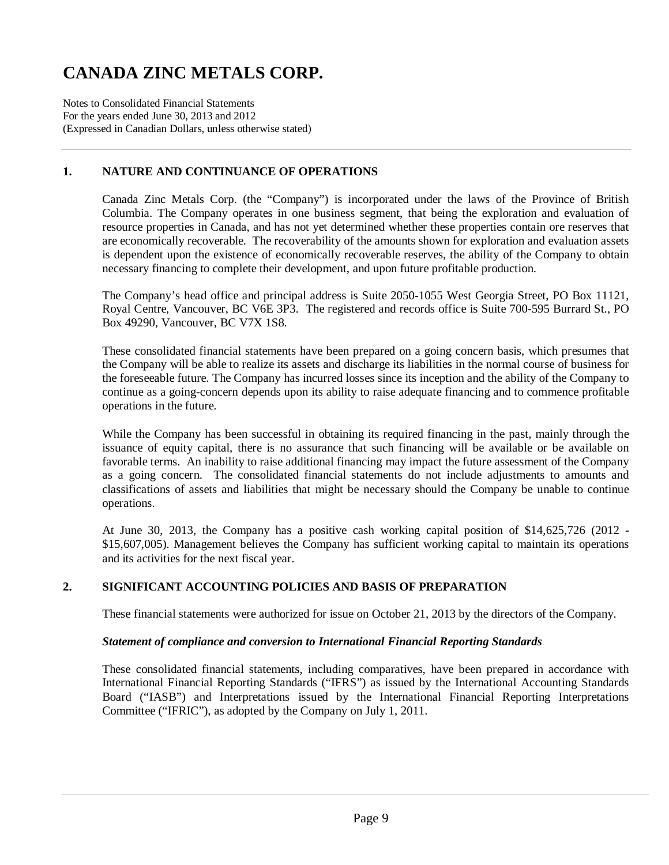Notes to Consolidated Financial Statements For the years ended June 30, 2013 and 2012 (Expressed in Canadian Dollars, unless otherwise stated)

# **1. NATURE AND CONTINUANCE OF OPERATIONS**

Canada Zinc Metals Corp. (the "Company") is incorporated under the laws of the Province of British Columbia. The Company operates in one business segment, that being the exploration and evaluation of resource properties in Canada, and has not yet determined whether these properties contain ore reserves that are economically recoverable. The recoverability of the amounts shown for exploration and evaluation assets is dependent upon the existence of economically recoverable reserves, the ability of the Company to obtain necessary financing to complete their development, and upon future profitable production.

The Company's head office and principal address is Suite 2050-1055 West Georgia Street, PO Box 11121, Royal Centre, Vancouver, BC V6E 3P3. The registered and records office is Suite 700-595 Burrard St., PO Box 49290, Vancouver, BC V7X 1S8.

These consolidated financial statements have been prepared on a going concern basis, which presumes that the Company will be able to realize its assets and discharge its liabilities in the normal course of business for the foreseeable future. The Company has incurred losses since its inception and the ability of the Company to continue as a going-concern depends upon its ability to raise adequate financing and to commence profitable operations in the future.

While the Company has been successful in obtaining its required financing in the past, mainly through the issuance of equity capital, there is no assurance that such financing will be available or be available on favorable terms. An inability to raise additional financing may impact the future assessment of the Company as a going concern. The consolidated financial statements do not include adjustments to amounts and classifications of assets and liabilities that might be necessary should the Company be unable to continue operations.

At June 30, 2013, the Company has a positive cash working capital position of \$14,625,726 (2012 - \$15,607,005). Management believes the Company has sufficient working capital to maintain its operations and its activities for the next fiscal year.

### **2. SIGNIFICANT ACCOUNTING POLICIES AND BASIS OF PREPARATION**

These financial statements were authorized for issue on October 21, 2013 by the directors of the Company.

#### *Statement of compliance and conversion to International Financial Reporting Standards*

These consolidated financial statements, including comparatives, have been prepared in accordance with International Financial Reporting Standards ("IFRS") as issued by the International Accounting Standards Board ("IASB") and Interpretations issued by the International Financial Reporting Interpretations Committee ("IFRIC"), as adopted by the Company on July 1, 2011.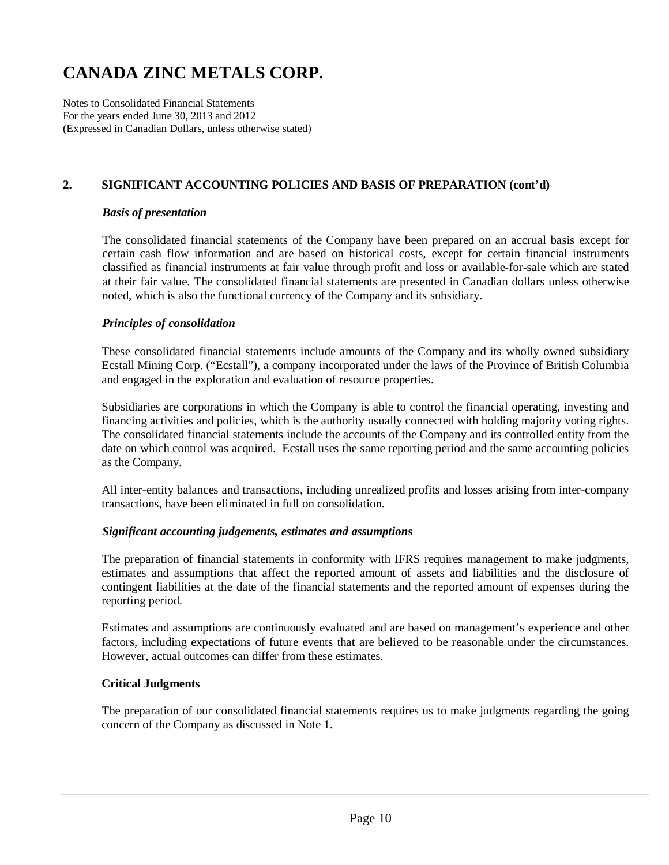Notes to Consolidated Financial Statements For the years ended June 30, 2013 and 2012 (Expressed in Canadian Dollars, unless otherwise stated)

### **2. SIGNIFICANT ACCOUNTING POLICIES AND BASIS OF PREPARATION (cont'd)**

#### *Basis of presentation*

The consolidated financial statements of the Company have been prepared on an accrual basis except for certain cash flow information and are based on historical costs, except for certain financial instruments classified as financial instruments at fair value through profit and loss or available-for-sale which are stated at their fair value. The consolidated financial statements are presented in Canadian dollars unless otherwise noted, which is also the functional currency of the Company and its subsidiary.

#### *Principles of consolidation*

These consolidated financial statements include amounts of the Company and its wholly owned subsidiary Ecstall Mining Corp. ("Ecstall"), a company incorporated under the laws of the Province of British Columbia and engaged in the exploration and evaluation of resource properties.

Subsidiaries are corporations in which the Company is able to control the financial operating, investing and financing activities and policies, which is the authority usually connected with holding majority voting rights. The consolidated financial statements include the accounts of the Company and its controlled entity from the date on which control was acquired. Ecstall uses the same reporting period and the same accounting policies as the Company.

All inter-entity balances and transactions, including unrealized profits and losses arising from inter-company transactions, have been eliminated in full on consolidation.

### *Significant accounting judgements, estimates and assumptions*

The preparation of financial statements in conformity with IFRS requires management to make judgments, estimates and assumptions that affect the reported amount of assets and liabilities and the disclosure of contingent liabilities at the date of the financial statements and the reported amount of expenses during the reporting period.

Estimates and assumptions are continuously evaluated and are based on management's experience and other factors, including expectations of future events that are believed to be reasonable under the circumstances. However, actual outcomes can differ from these estimates.

### **Critical Judgments**

The preparation of our consolidated financial statements requires us to make judgments regarding the going concern of the Company as discussed in Note 1.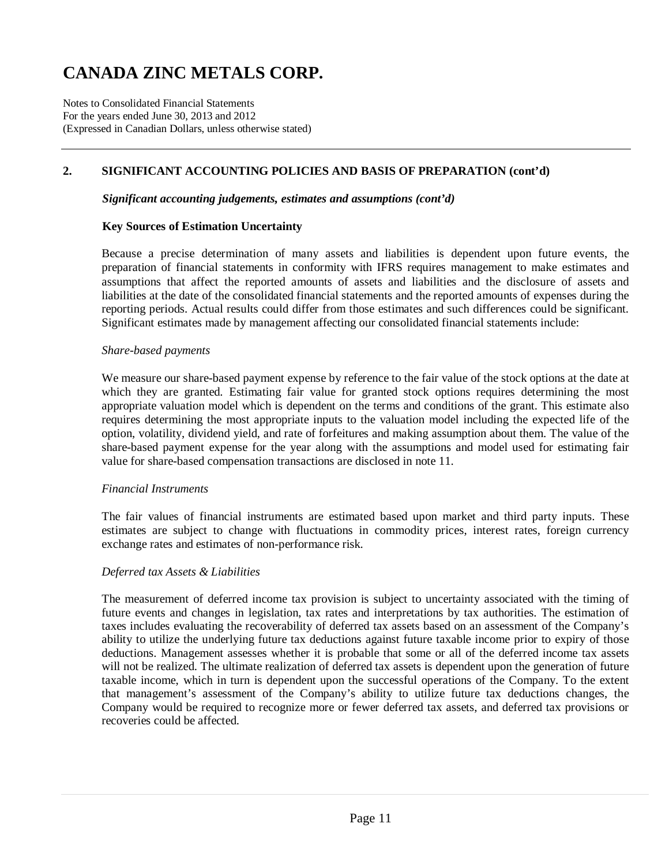Notes to Consolidated Financial Statements For the years ended June 30, 2013 and 2012 (Expressed in Canadian Dollars, unless otherwise stated)

# **2. SIGNIFICANT ACCOUNTING POLICIES AND BASIS OF PREPARATION (cont'd)**

#### *Significant accounting judgements, estimates and assumptions (cont'd)*

#### **Key Sources of Estimation Uncertainty**

Because a precise determination of many assets and liabilities is dependent upon future events, the preparation of financial statements in conformity with IFRS requires management to make estimates and assumptions that affect the reported amounts of assets and liabilities and the disclosure of assets and liabilities at the date of the consolidated financial statements and the reported amounts of expenses during the reporting periods. Actual results could differ from those estimates and such differences could be significant. Significant estimates made by management affecting our consolidated financial statements include:

#### *Share-based payments*

We measure our share-based payment expense by reference to the fair value of the stock options at the date at which they are granted. Estimating fair value for granted stock options requires determining the most appropriate valuation model which is dependent on the terms and conditions of the grant. This estimate also requires determining the most appropriate inputs to the valuation model including the expected life of the option, volatility, dividend yield, and rate of forfeitures and making assumption about them. The value of the share-based payment expense for the year along with the assumptions and model used for estimating fair value for share-based compensation transactions are disclosed in note 11.

#### *Financial Instruments*

The fair values of financial instruments are estimated based upon market and third party inputs. These estimates are subject to change with fluctuations in commodity prices, interest rates, foreign currency exchange rates and estimates of non-performance risk.

#### *Deferred tax Assets & Liabilities*

The measurement of deferred income tax provision is subject to uncertainty associated with the timing of future events and changes in legislation, tax rates and interpretations by tax authorities. The estimation of taxes includes evaluating the recoverability of deferred tax assets based on an assessment of the Company's ability to utilize the underlying future tax deductions against future taxable income prior to expiry of those deductions. Management assesses whether it is probable that some or all of the deferred income tax assets will not be realized. The ultimate realization of deferred tax assets is dependent upon the generation of future taxable income, which in turn is dependent upon the successful operations of the Company. To the extent that management's assessment of the Company's ability to utilize future tax deductions changes, the Company would be required to recognize more or fewer deferred tax assets, and deferred tax provisions or recoveries could be affected.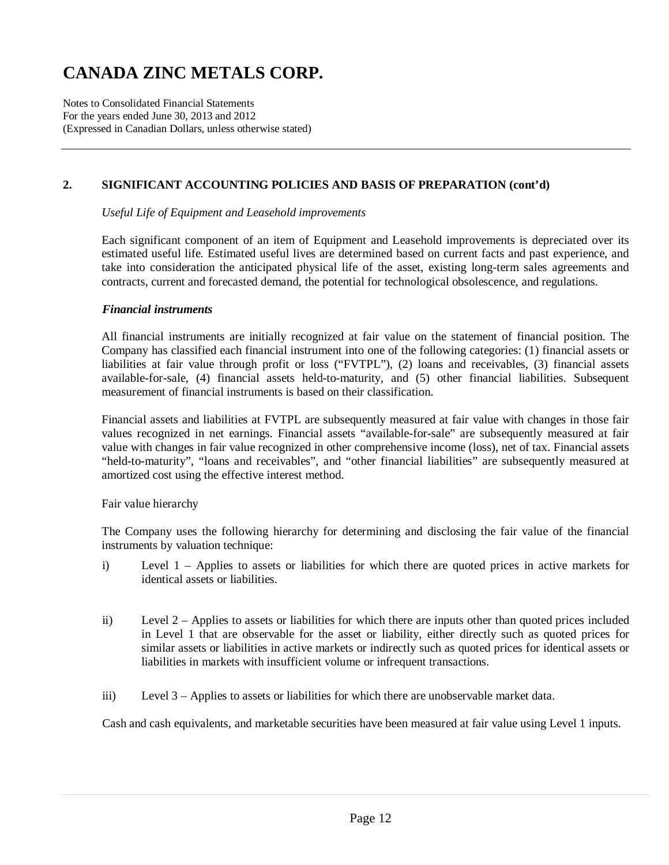Notes to Consolidated Financial Statements For the years ended June 30, 2013 and 2012 (Expressed in Canadian Dollars, unless otherwise stated)

### **2. SIGNIFICANT ACCOUNTING POLICIES AND BASIS OF PREPARATION (cont'd)**

*Useful Life of Equipment and Leasehold improvements* 

Each significant component of an item of Equipment and Leasehold improvements is depreciated over its estimated useful life. Estimated useful lives are determined based on current facts and past experience, and take into consideration the anticipated physical life of the asset, existing long-term sales agreements and contracts, current and forecasted demand, the potential for technological obsolescence, and regulations.

#### *Financial instruments*

All financial instruments are initially recognized at fair value on the statement of financial position. The Company has classified each financial instrument into one of the following categories: (1) financial assets or liabilities at fair value through profit or loss ("FVTPL"), (2) loans and receivables, (3) financial assets available-for-sale, (4) financial assets held-to-maturity, and (5) other financial liabilities. Subsequent measurement of financial instruments is based on their classification.

Financial assets and liabilities at FVTPL are subsequently measured at fair value with changes in those fair values recognized in net earnings. Financial assets "available-for-sale" are subsequently measured at fair value with changes in fair value recognized in other comprehensive income (loss), net of tax. Financial assets "held-to-maturity", "loans and receivables", and "other financial liabilities" are subsequently measured at amortized cost using the effective interest method.

Fair value hierarchy

The Company uses the following hierarchy for determining and disclosing the fair value of the financial instruments by valuation technique:

- i) Level 1 Applies to assets or liabilities for which there are quoted prices in active markets for identical assets or liabilities.
- ii) Level 2 Applies to assets or liabilities for which there are inputs other than quoted prices included in Level 1 that are observable for the asset or liability, either directly such as quoted prices for similar assets or liabilities in active markets or indirectly such as quoted prices for identical assets or liabilities in markets with insufficient volume or infrequent transactions.
- iii) Level 3 Applies to assets or liabilities for which there are unobservable market data.

Cash and cash equivalents, and marketable securities have been measured at fair value using Level 1 inputs.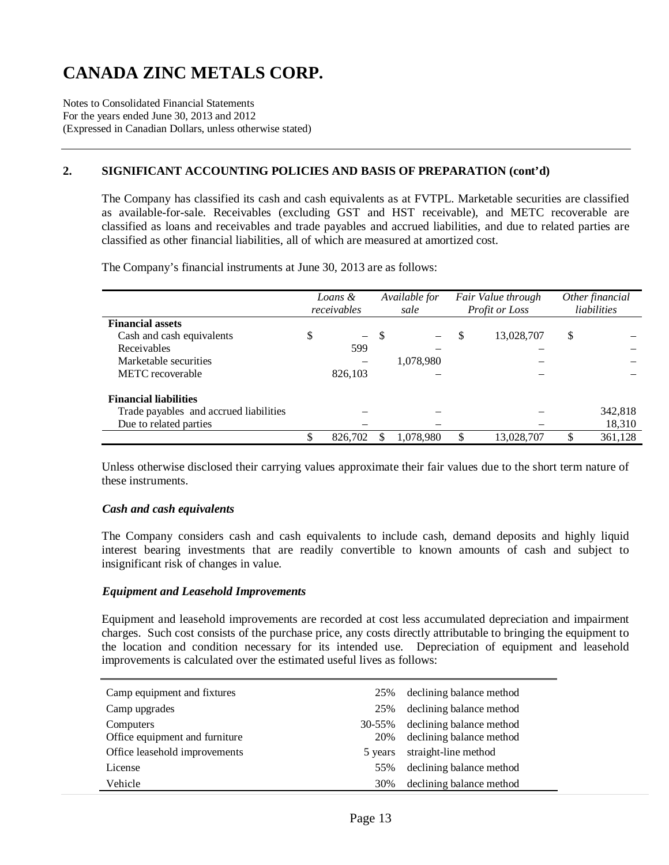Notes to Consolidated Financial Statements For the years ended June 30, 2013 and 2012 (Expressed in Canadian Dollars, unless otherwise stated)

### **2. SIGNIFICANT ACCOUNTING POLICIES AND BASIS OF PREPARATION (cont'd)**

The Company has classified its cash and cash equivalents as at FVTPL. Marketable securities are classified as available-for-sale. Receivables (excluding GST and HST receivable), and METC recoverable are classified as loans and receivables and trade payables and accrued liabilities, and due to related parties are classified as other financial liabilities, all of which are measured at amortized cost.

*Loans & receivables Available for sale Fair Value through Profit or Loss Other financial liabilities*  **Financial assets**  Cash and cash equivalents  $\begin{array}{cccc} \text{S} & - & \text{S} & - & \text{S} & 13,028,707 & \text{S} \end{array}$ Receivables 599 – – – Marketable securities – 1,078,980 METC recoverable 826,103 **Financial liabilities**  Trade payables and accrued liabilities – – – – – 342,818 Due to related parties  $\qquad \qquad \qquad -$  18,310 \$ 826,702 \$ 1,078,980 \$ 13,028,707 \$ 361,128

The Company's financial instruments at June 30, 2013 are as follows:

Unless otherwise disclosed their carrying values approximate their fair values due to the short term nature of these instruments.

#### *Cash and cash equivalents*

The Company considers cash and cash equivalents to include cash, demand deposits and highly liquid interest bearing investments that are readily convertible to known amounts of cash and subject to insignificant risk of changes in value.

#### *Equipment and Leasehold Improvements*

Equipment and leasehold improvements are recorded at cost less accumulated depreciation and impairment charges. Such cost consists of the purchase price, any costs directly attributable to bringing the equipment to the location and condition necessary for its intended use. Depreciation of equipment and leasehold improvements is calculated over the estimated useful lives as follows:

| Camp equipment and fixtures                 | 25%           | declining balance method                             |
|---------------------------------------------|---------------|------------------------------------------------------|
| Camp upgrades                               | 25%           | declining balance method                             |
| Computers<br>Office equipment and furniture | 30-55%<br>20% | declining balance method<br>declining balance method |
| Office leasehold improvements               | 5 years       | straight-line method                                 |
| License                                     | 55%           | declining balance method                             |
| Vehicle                                     | 30%           | declining balance method                             |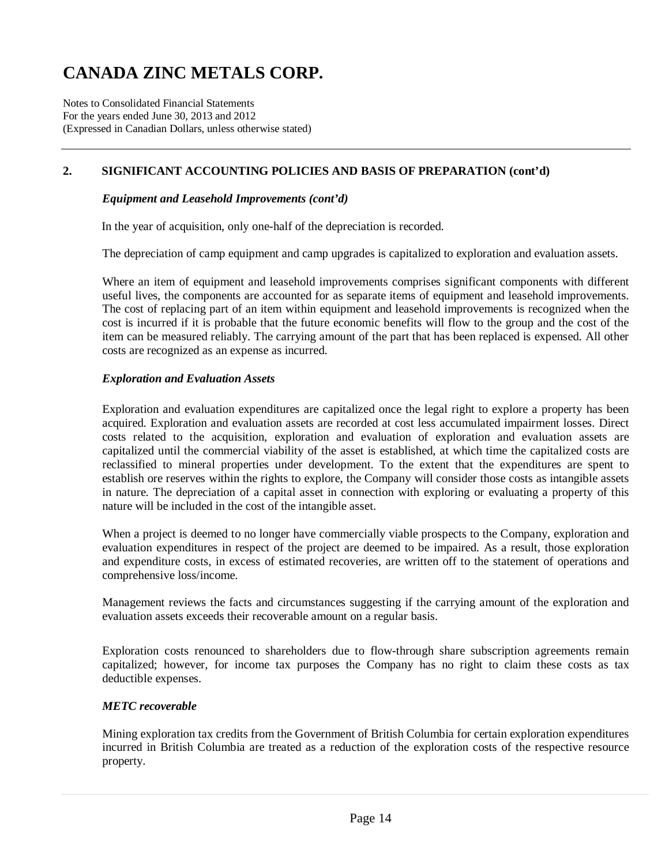Notes to Consolidated Financial Statements For the years ended June 30, 2013 and 2012 (Expressed in Canadian Dollars, unless otherwise stated)

# **2. SIGNIFICANT ACCOUNTING POLICIES AND BASIS OF PREPARATION (cont'd)**

#### *Equipment and Leasehold Improvements (cont'd)*

In the year of acquisition, only one-half of the depreciation is recorded.

The depreciation of camp equipment and camp upgrades is capitalized to exploration and evaluation assets.

Where an item of equipment and leasehold improvements comprises significant components with different useful lives, the components are accounted for as separate items of equipment and leasehold improvements. The cost of replacing part of an item within equipment and leasehold improvements is recognized when the cost is incurred if it is probable that the future economic benefits will flow to the group and the cost of the item can be measured reliably. The carrying amount of the part that has been replaced is expensed. All other costs are recognized as an expense as incurred.

#### *Exploration and Evaluation Assets*

Exploration and evaluation expenditures are capitalized once the legal right to explore a property has been acquired. Exploration and evaluation assets are recorded at cost less accumulated impairment losses. Direct costs related to the acquisition, exploration and evaluation of exploration and evaluation assets are capitalized until the commercial viability of the asset is established, at which time the capitalized costs are reclassified to mineral properties under development. To the extent that the expenditures are spent to establish ore reserves within the rights to explore, the Company will consider those costs as intangible assets in nature. The depreciation of a capital asset in connection with exploring or evaluating a property of this nature will be included in the cost of the intangible asset.

When a project is deemed to no longer have commercially viable prospects to the Company, exploration and evaluation expenditures in respect of the project are deemed to be impaired. As a result, those exploration and expenditure costs, in excess of estimated recoveries, are written off to the statement of operations and comprehensive loss/income.

Management reviews the facts and circumstances suggesting if the carrying amount of the exploration and evaluation assets exceeds their recoverable amount on a regular basis.

Exploration costs renounced to shareholders due to flow-through share subscription agreements remain capitalized; however, for income tax purposes the Company has no right to claim these costs as tax deductible expenses.

#### *METC recoverable*

Mining exploration tax credits from the Government of British Columbia for certain exploration expenditures incurred in British Columbia are treated as a reduction of the exploration costs of the respective resource property.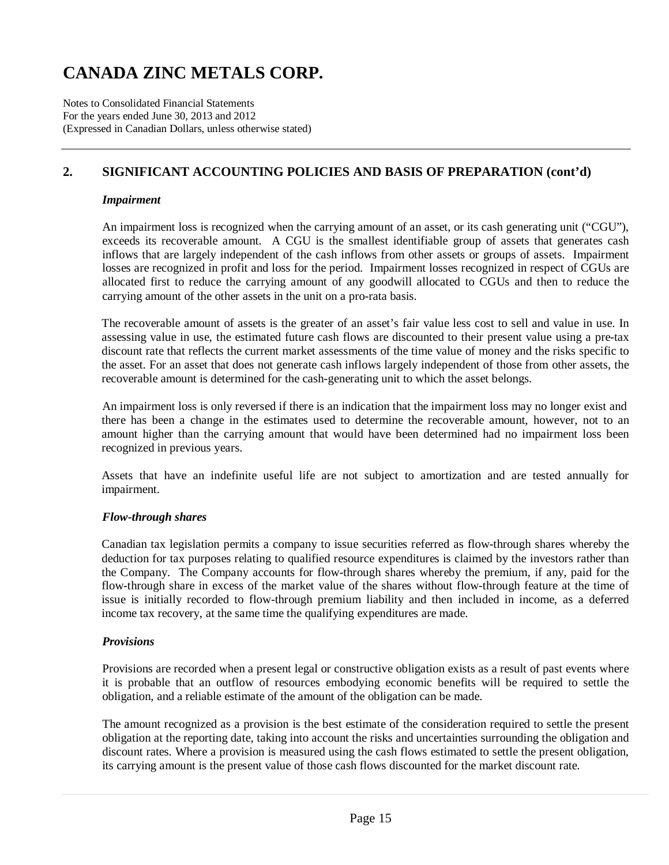Notes to Consolidated Financial Statements For the years ended June 30, 2013 and 2012 (Expressed in Canadian Dollars, unless otherwise stated)

# **2. SIGNIFICANT ACCOUNTING POLICIES AND BASIS OF PREPARATION (cont'd)**

#### *Impairment*

An impairment loss is recognized when the carrying amount of an asset, or its cash generating unit ("CGU"), exceeds its recoverable amount. A CGU is the smallest identifiable group of assets that generates cash inflows that are largely independent of the cash inflows from other assets or groups of assets. Impairment losses are recognized in profit and loss for the period. Impairment losses recognized in respect of CGUs are allocated first to reduce the carrying amount of any goodwill allocated to CGUs and then to reduce the carrying amount of the other assets in the unit on a pro-rata basis.

The recoverable amount of assets is the greater of an asset's fair value less cost to sell and value in use. In assessing value in use, the estimated future cash flows are discounted to their present value using a pre-tax discount rate that reflects the current market assessments of the time value of money and the risks specific to the asset. For an asset that does not generate cash inflows largely independent of those from other assets, the recoverable amount is determined for the cash-generating unit to which the asset belongs.

An impairment loss is only reversed if there is an indication that the impairment loss may no longer exist and there has been a change in the estimates used to determine the recoverable amount, however, not to an amount higher than the carrying amount that would have been determined had no impairment loss been recognized in previous years.

Assets that have an indefinite useful life are not subject to amortization and are tested annually for impairment.

### *Flow-through shares*

Canadian tax legislation permits a company to issue securities referred as flow-through shares whereby the deduction for tax purposes relating to qualified resource expenditures is claimed by the investors rather than the Company. The Company accounts for flow-through shares whereby the premium, if any, paid for the flow-through share in excess of the market value of the shares without flow-through feature at the time of issue is initially recorded to flow-through premium liability and then included in income, as a deferred income tax recovery, at the same time the qualifying expenditures are made.

### *Provisions*

Provisions are recorded when a present legal or constructive obligation exists as a result of past events where it is probable that an outflow of resources embodying economic benefits will be required to settle the obligation, and a reliable estimate of the amount of the obligation can be made.

The amount recognized as a provision is the best estimate of the consideration required to settle the present obligation at the reporting date, taking into account the risks and uncertainties surrounding the obligation and discount rates. Where a provision is measured using the cash flows estimated to settle the present obligation, its carrying amount is the present value of those cash flows discounted for the market discount rate.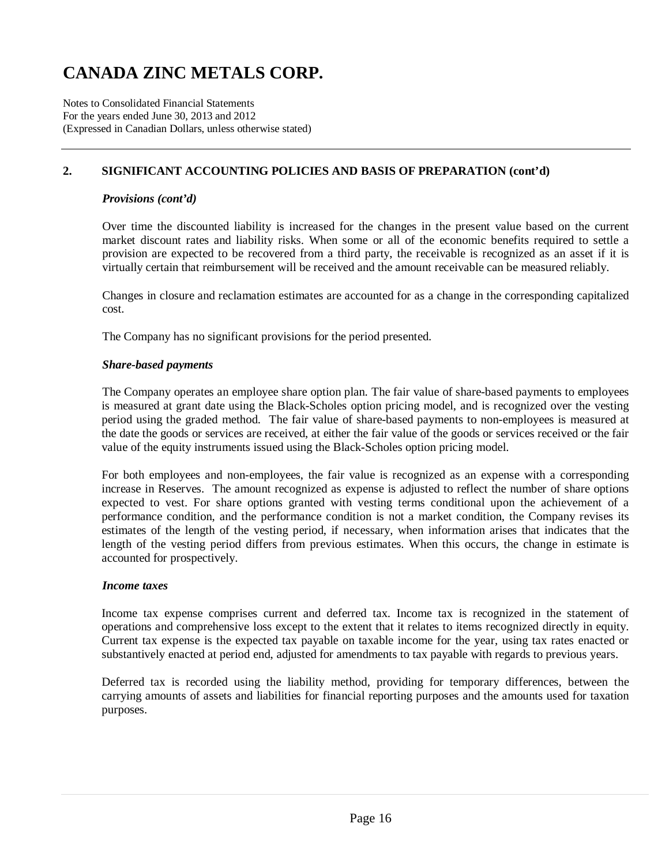Notes to Consolidated Financial Statements For the years ended June 30, 2013 and 2012 (Expressed in Canadian Dollars, unless otherwise stated)

# **2. SIGNIFICANT ACCOUNTING POLICIES AND BASIS OF PREPARATION (cont'd)**

#### *Provisions (cont'd)*

Over time the discounted liability is increased for the changes in the present value based on the current market discount rates and liability risks. When some or all of the economic benefits required to settle a provision are expected to be recovered from a third party, the receivable is recognized as an asset if it is virtually certain that reimbursement will be received and the amount receivable can be measured reliably.

Changes in closure and reclamation estimates are accounted for as a change in the corresponding capitalized cost.

The Company has no significant provisions for the period presented.

#### *Share-based payments*

The Company operates an employee share option plan. The fair value of share-based payments to employees is measured at grant date using the Black-Scholes option pricing model, and is recognized over the vesting period using the graded method. The fair value of share-based payments to non-employees is measured at the date the goods or services are received, at either the fair value of the goods or services received or the fair value of the equity instruments issued using the Black-Scholes option pricing model.

For both employees and non-employees, the fair value is recognized as an expense with a corresponding increase in Reserves. The amount recognized as expense is adjusted to reflect the number of share options expected to vest. For share options granted with vesting terms conditional upon the achievement of a performance condition, and the performance condition is not a market condition, the Company revises its estimates of the length of the vesting period, if necessary, when information arises that indicates that the length of the vesting period differs from previous estimates. When this occurs, the change in estimate is accounted for prospectively.

### *Income taxes*

Income tax expense comprises current and deferred tax. Income tax is recognized in the statement of operations and comprehensive loss except to the extent that it relates to items recognized directly in equity. Current tax expense is the expected tax payable on taxable income for the year, using tax rates enacted or substantively enacted at period end, adjusted for amendments to tax payable with regards to previous years.

Deferred tax is recorded using the liability method, providing for temporary differences, between the carrying amounts of assets and liabilities for financial reporting purposes and the amounts used for taxation purposes.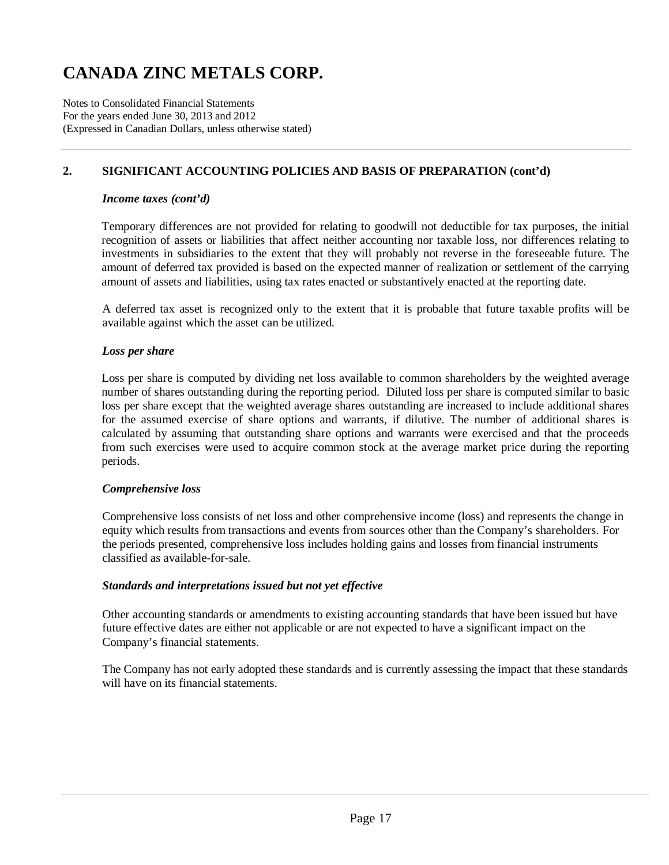Notes to Consolidated Financial Statements For the years ended June 30, 2013 and 2012 (Expressed in Canadian Dollars, unless otherwise stated)

# **2. SIGNIFICANT ACCOUNTING POLICIES AND BASIS OF PREPARATION (cont'd)**

#### *Income taxes (cont'd)*

Temporary differences are not provided for relating to goodwill not deductible for tax purposes, the initial recognition of assets or liabilities that affect neither accounting nor taxable loss, nor differences relating to investments in subsidiaries to the extent that they will probably not reverse in the foreseeable future. The amount of deferred tax provided is based on the expected manner of realization or settlement of the carrying amount of assets and liabilities, using tax rates enacted or substantively enacted at the reporting date.

A deferred tax asset is recognized only to the extent that it is probable that future taxable profits will be available against which the asset can be utilized.

#### *Loss per share*

Loss per share is computed by dividing net loss available to common shareholders by the weighted average number of shares outstanding during the reporting period. Diluted loss per share is computed similar to basic loss per share except that the weighted average shares outstanding are increased to include additional shares for the assumed exercise of share options and warrants, if dilutive. The number of additional shares is calculated by assuming that outstanding share options and warrants were exercised and that the proceeds from such exercises were used to acquire common stock at the average market price during the reporting periods.

#### *Comprehensive loss*

Comprehensive loss consists of net loss and other comprehensive income (loss) and represents the change in equity which results from transactions and events from sources other than the Company's shareholders. For the periods presented, comprehensive loss includes holding gains and losses from financial instruments classified as available-for-sale.

#### *Standards and interpretations issued but not yet effective*

Other accounting standards or amendments to existing accounting standards that have been issued but have future effective dates are either not applicable or are not expected to have a significant impact on the Company's financial statements.

The Company has not early adopted these standards and is currently assessing the impact that these standards will have on its financial statements.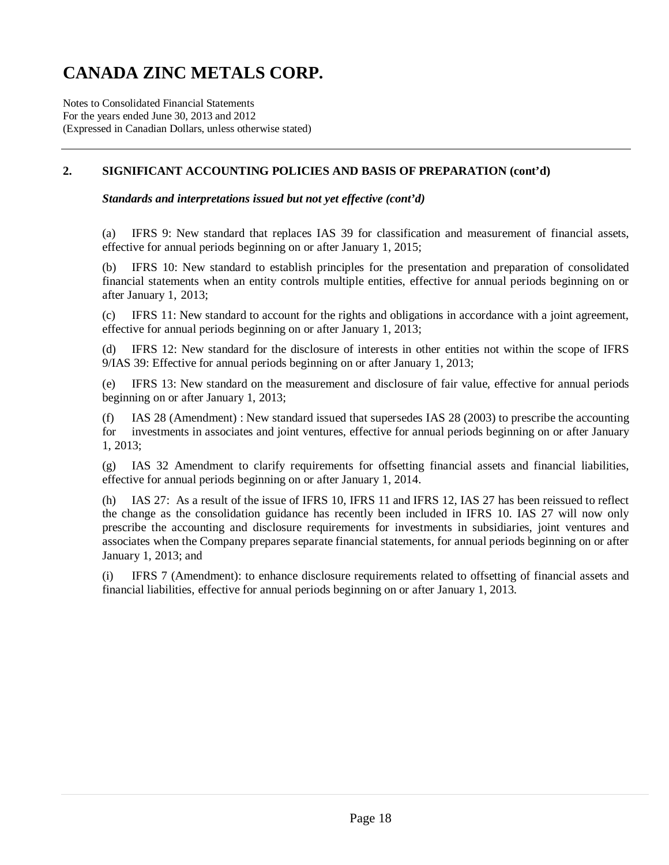Notes to Consolidated Financial Statements For the years ended June 30, 2013 and 2012 (Expressed in Canadian Dollars, unless otherwise stated)

### **2. SIGNIFICANT ACCOUNTING POLICIES AND BASIS OF PREPARATION (cont'd)**

*Standards and interpretations issued but not yet effective (cont'd)* 

(a) IFRS 9: New standard that replaces IAS 39 for classification and measurement of financial assets, effective for annual periods beginning on or after January 1, 2015;

(b) IFRS 10: New standard to establish principles for the presentation and preparation of consolidated financial statements when an entity controls multiple entities, effective for annual periods beginning on or after January 1, 2013;

(c) IFRS 11: New standard to account for the rights and obligations in accordance with a joint agreement, effective for annual periods beginning on or after January 1, 2013;

(d) IFRS 12: New standard for the disclosure of interests in other entities not within the scope of IFRS 9/IAS 39: Effective for annual periods beginning on or after January 1, 2013;

(e) IFRS 13: New standard on the measurement and disclosure of fair value, effective for annual periods beginning on or after January 1, 2013;

(f) IAS 28 (Amendment) : New standard issued that supersedes IAS 28 (2003) to prescribe the accounting for investments in associates and joint ventures, effective for annual periods beginning on or after January 1, 2013;

(g) IAS 32 Amendment to clarify requirements for offsetting financial assets and financial liabilities, effective for annual periods beginning on or after January 1, 2014.

(h) IAS 27: As a result of the issue of IFRS 10, IFRS 11 and IFRS 12, IAS 27 has been reissued to reflect the change as the consolidation guidance has recently been included in IFRS 10. IAS 27 will now only prescribe the accounting and disclosure requirements for investments in subsidiaries, joint ventures and associates when the Company prepares separate financial statements, for annual periods beginning on or after January 1, 2013; and

IFRS 7 (Amendment): to enhance disclosure requirements related to offsetting of financial assets and financial liabilities, effective for annual periods beginning on or after January 1, 2013.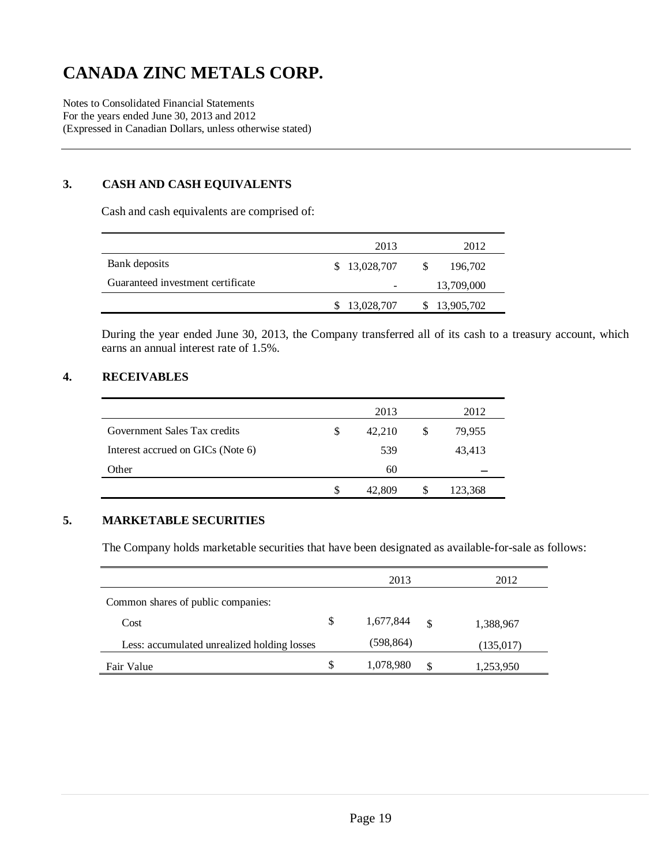Notes to Consolidated Financial Statements For the years ended June 30, 2013 and 2012 (Expressed in Canadian Dollars, unless otherwise stated)

### **3. CASH AND CASH EQUIVALENTS**

Cash and cash equivalents are comprised of:

|                                   | 2013         | 2012          |
|-----------------------------------|--------------|---------------|
| Bank deposits                     | \$13,028,707 | 196,702<br>-S |
| Guaranteed investment certificate |              | 13,709,000    |
|                                   | 13,028,707   | 13,905,702    |

During the year ended June 30, 2013, the Company transferred all of its cash to a treasury account, which earns an annual interest rate of 1.5%.

### **4. RECEIVABLES**

|                                   |   | 2013   |   | 2012    |
|-----------------------------------|---|--------|---|---------|
| Government Sales Tax credits      | S | 42,210 | S | 79,955  |
| Interest accrued on GICs (Note 6) |   | 539    |   | 43,413  |
| Other                             |   | 60     |   |         |
|                                   |   | 42,809 | S | 123,368 |

### **5. MARKETABLE SECURITIES**

The Company holds marketable securities that have been designated as available-for-sale as follows:

|                                             |    | 2013       |               | 2012      |
|---------------------------------------------|----|------------|---------------|-----------|
| Common shares of public companies:          |    |            |               |           |
| Cost                                        | \$ | 1,677,844  | $\mathcal{S}$ | 1,388,967 |
| Less: accumulated unrealized holding losses |    | (598, 864) |               | (135,017) |
| Fair Value                                  | S  | 1,078,980  | S.            | 1,253,950 |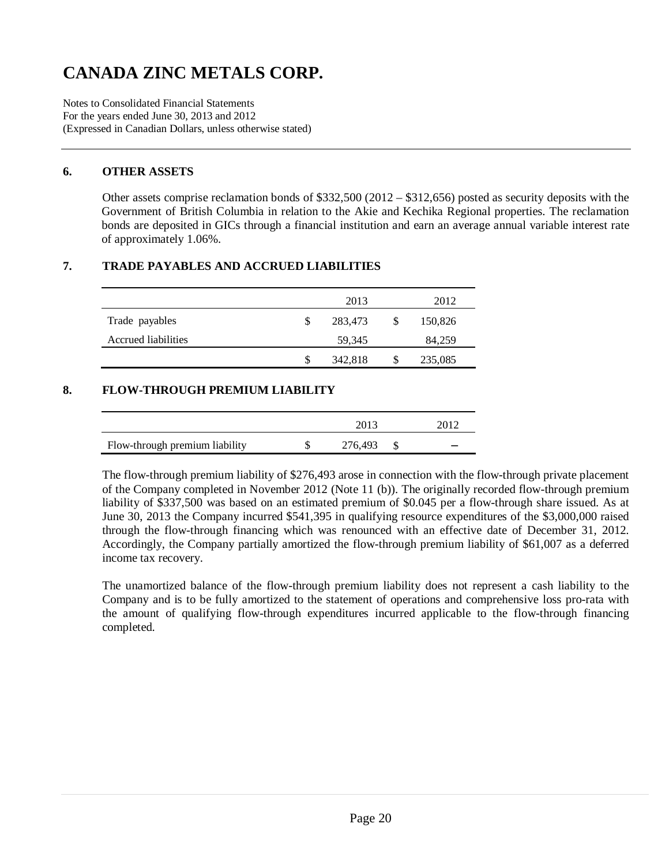Notes to Consolidated Financial Statements For the years ended June 30, 2013 and 2012 (Expressed in Canadian Dollars, unless otherwise stated)

### **6. OTHER ASSETS**

Other assets comprise reclamation bonds of \$332,500 (2012 – \$312,656) posted as security deposits with the Government of British Columbia in relation to the Akie and Kechika Regional properties. The reclamation bonds are deposited in GICs through a financial institution and earn an average annual variable interest rate of approximately 1.06%.

# **7. TRADE PAYABLES AND ACCRUED LIABILITIES**

|                     |   | 2013    |              | 2012    |
|---------------------|---|---------|--------------|---------|
| Trade payables      |   | 283,473 | <sup>S</sup> | 150,826 |
| Accrued liabilities |   | 59,345  |              | 84,259  |
|                     | S | 342,818 | S            | 235,085 |

### **8. FLOW-THROUGH PREMIUM LIABILITY**

|                                | 2013    |   |
|--------------------------------|---------|---|
| Flow-through premium liability | 276,493 | - |

The flow-through premium liability of \$276,493 arose in connection with the flow-through private placement of the Company completed in November 2012 (Note 11 (b)). The originally recorded flow-through premium liability of \$337,500 was based on an estimated premium of \$0.045 per a flow-through share issued. As at June 30, 2013 the Company incurred \$541,395 in qualifying resource expenditures of the \$3,000,000 raised through the flow-through financing which was renounced with an effective date of December 31, 2012. Accordingly, the Company partially amortized the flow-through premium liability of \$61,007 as a deferred income tax recovery.

The unamortized balance of the flow-through premium liability does not represent a cash liability to the Company and is to be fully amortized to the statement of operations and comprehensive loss pro-rata with the amount of qualifying flow-through expenditures incurred applicable to the flow-through financing completed.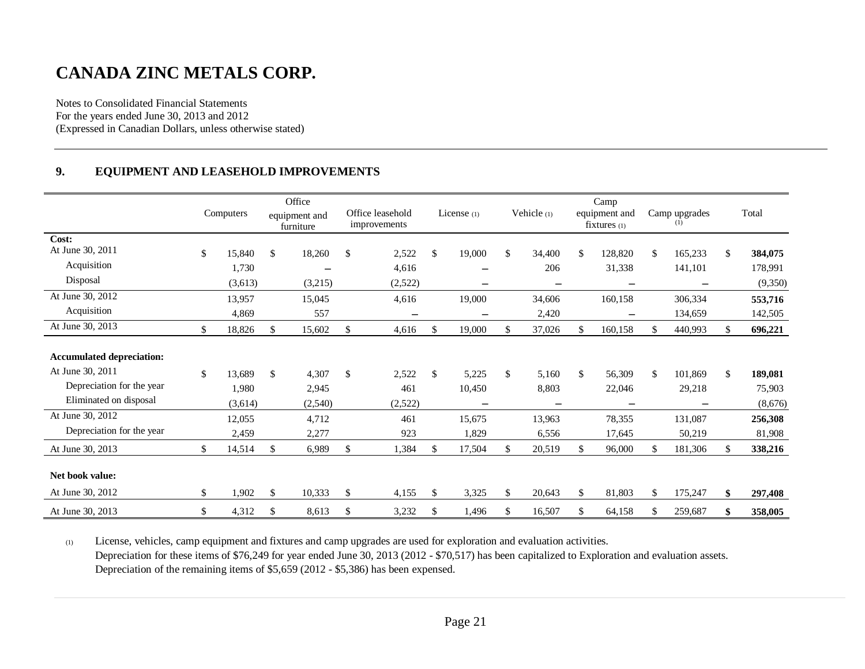Notes to Consolidated Financial Statements For the years ended June 30, 2013 and 2012 (Expressed in Canadian Dollars, unless otherwise stated)

### **9. EQUIPMENT AND LEASEHOLD IMPROVEMENTS**

|                                  | Computers    | Office<br>equipment and<br>furniture | Office leasehold<br>improvements | License $(1)$            | Vehicle (1)  | Camp<br>equipment and<br>$fixtures_{(1)}$ | Camp upgrades<br>(1)     | Total         |
|----------------------------------|--------------|--------------------------------------|----------------------------------|--------------------------|--------------|-------------------------------------------|--------------------------|---------------|
| Cost:<br>At June 30, 2011        |              |                                      |                                  |                          |              |                                           |                          |               |
|                                  | \$<br>15,840 | \$<br>18,260                         | \$<br>2,522                      | \$<br>19,000             | \$<br>34,400 | \$<br>128,820                             | \$<br>165,233            | \$<br>384,075 |
| Acquisition                      | 1,730        |                                      | 4,616                            | $\overline{\phantom{0}}$ | 206          | 31,338                                    | 141,101                  | 178,991       |
| Disposal                         | (3,613)      | (3,215)                              | (2,522)                          | —                        |              |                                           | $\overline{\phantom{m}}$ | (9,350)       |
| At June 30, 2012                 | 13,957       | 15,045                               | 4,616                            | 19,000                   | 34,606       | 160,158                                   | 306,334                  | 553,716       |
| Acquisition                      | 4,869        | 557                                  | $\qquad \qquad$                  | $\overline{\phantom{0}}$ | 2,420        | $\overline{\phantom{0}}$                  | 134,659                  | 142,505       |
| At June 30, 2013                 | \$<br>18,826 | \$<br>15,602                         | \$<br>4,616                      | \$<br>19,000             | \$<br>37,026 | 160,158                                   | \$<br>440,993            | \$<br>696,221 |
|                                  |              |                                      |                                  |                          |              |                                           |                          |               |
| <b>Accumulated depreciation:</b> |              |                                      |                                  |                          |              |                                           |                          |               |
| At June 30, 2011                 | \$<br>13,689 | \$<br>4,307                          | \$<br>2,522                      | \$<br>5,225              | \$<br>5,160  | \$<br>56,309                              | \$<br>101,869            | \$<br>189,081 |
| Depreciation for the year        | 1,980        | 2,945                                | 461                              | 10,450                   | 8,803        | 22,046                                    | 29,218                   | 75,903        |
| Eliminated on disposal           | (3,614)      | (2,540)                              | (2,522)                          |                          |              |                                           |                          | (8,676)       |
| At June 30, 2012                 | 12,055       | 4,712                                | 461                              | 15,675                   | 13,963       | 78,355                                    | 131,087                  | 256,308       |
| Depreciation for the year        | 2,459        | 2,277                                | 923                              | 1,829                    | 6,556        | 17,645                                    | 50,219                   | 81,908        |
| At June 30, 2013                 | \$<br>14,514 | \$<br>6,989                          | \$<br>1,384                      | \$<br>17,504             | \$<br>20,519 | \$<br>96,000                              | \$<br>181,306            | \$<br>338,216 |
| Net book value:                  |              |                                      |                                  |                          |              |                                           |                          |               |
| At June 30, 2012                 | \$<br>1,902  | \$<br>10,333                         | \$<br>4,155                      | \$<br>3,325              | \$<br>20,643 | \$<br>81,803                              | \$<br>175,247            | \$<br>297,408 |
| At June 30, 2013                 | \$<br>4,312  | \$<br>8,613                          | \$<br>3,232                      | \$<br>1,496              | \$<br>16,507 | \$<br>64,158                              | \$<br>259,687            | \$<br>358,005 |

(1) License, vehicles, camp equipment and fixtures and camp upgrades are used for exploration and evaluation activities. Depreciation for these items of \$76,249 for year ended June 30, 2013 (2012 - \$70,517) has been capitalized to Exploration and evaluation assets. Depreciation of the remaining items of \$5,659 (2012 - \$5,386) has been expensed.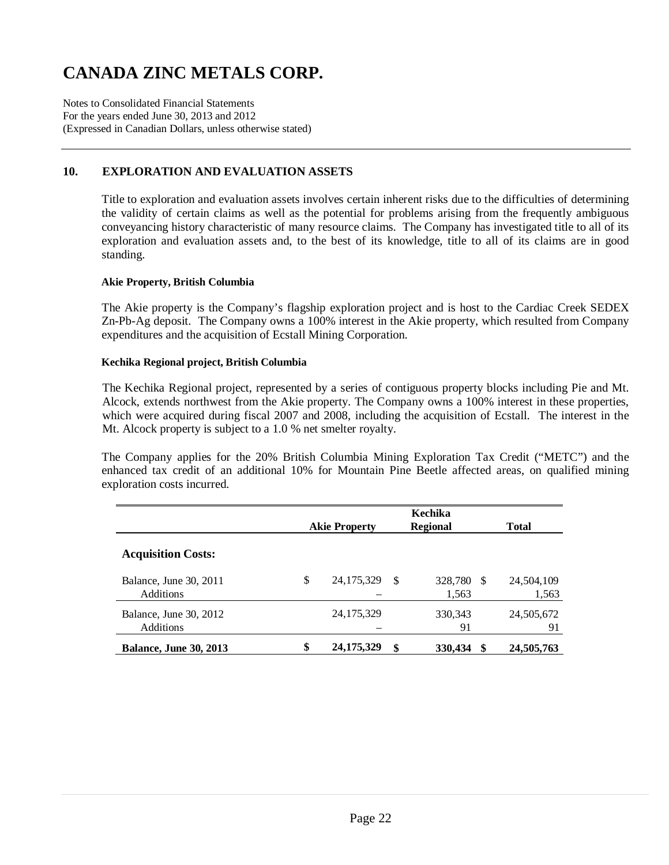Notes to Consolidated Financial Statements For the years ended June 30, 2013 and 2012 (Expressed in Canadian Dollars, unless otherwise stated)

# **10. EXPLORATION AND EVALUATION ASSETS**

Title to exploration and evaluation assets involves certain inherent risks due to the difficulties of determining the validity of certain claims as well as the potential for problems arising from the frequently ambiguous conveyancing history characteristic of many resource claims. The Company has investigated title to all of its exploration and evaluation assets and, to the best of its knowledge, title to all of its claims are in good standing.

#### **Akie Property, British Columbia**

The Akie property is the Company's flagship exploration project and is host to the Cardiac Creek SEDEX Zn-Pb-Ag deposit. The Company owns a 100% interest in the Akie property, which resulted from Company expenditures and the acquisition of Ecstall Mining Corporation.

#### **Kechika Regional project, British Columbia**

The Kechika Regional project, represented by a series of contiguous property blocks including Pie and Mt. Alcock, extends northwest from the Akie property. The Company owns a 100% interest in these properties, which were acquired during fiscal 2007 and 2008, including the acquisition of Ecstall. The interest in the Mt. Alcock property is subject to a 1.0 % net smelter royalty.

The Company applies for the 20% British Columbia Mining Exploration Tax Credit ("METC") and the enhanced tax credit of an additional 10% for Mountain Pine Beetle affected areas, on qualified mining exploration costs incurred.

|                                            | <b>Akie Property</b> | Kechika<br><b>Regional</b> | <b>Total</b>     |    |                     |
|--------------------------------------------|----------------------|----------------------------|------------------|----|---------------------|
| <b>Acquisition Costs:</b>                  |                      |                            |                  |    |                     |
| Balance, June 30, 2011<br><b>Additions</b> | \$<br>24, 175, 329   | \$.                        | 328,780<br>1,563 | -S | 24,504,109<br>1,563 |
| Balance, June 30, 2012<br>Additions        | 24, 175, 329         |                            | 330, 343<br>91   |    | 24,505,672<br>91    |
| <b>Balance, June 30, 2013</b>              | \$<br>24, 175, 329   | \$                         | 330,434          |    | 24,505,763          |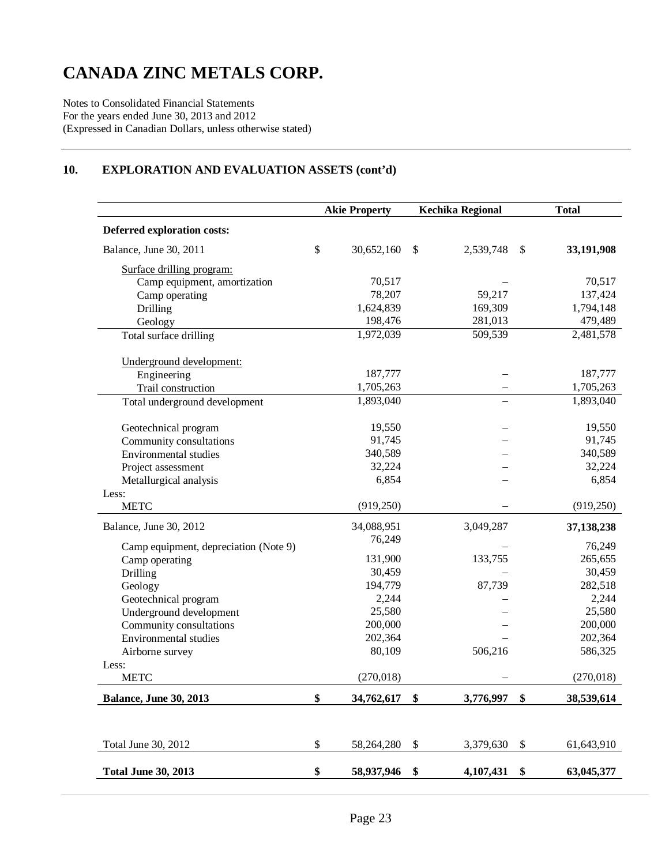Notes to Consolidated Financial Statements For the years ended June 30, 2013 and 2012 (Expressed in Canadian Dollars, unless otherwise stated)

# **10. EXPLORATION AND EVALUATION ASSETS (cont'd)**

|                                       | <b>Akie Property</b> |            | <b>Kechika Regional</b>   |           | <b>Total</b> |            |
|---------------------------------------|----------------------|------------|---------------------------|-----------|--------------|------------|
| Deferred exploration costs:           |                      |            |                           |           |              |            |
| Balance, June 30, 2011                | \$                   | 30,652,160 | $\mathbb{S}$              | 2,539,748 | \$           | 33,191,908 |
| Surface drilling program:             |                      |            |                           |           |              |            |
| Camp equipment, amortization          |                      | 70,517     |                           |           |              | 70,517     |
| Camp operating                        |                      | 78,207     |                           | 59,217    |              | 137,424    |
| Drilling                              |                      | 1,624,839  |                           | 169,309   |              | 1,794,148  |
| Geology                               |                      | 198,476    |                           | 281,013   |              | 479,489    |
| Total surface drilling                |                      | 1,972,039  |                           | 509,539   |              | 2,481,578  |
| Underground development:              |                      |            |                           |           |              |            |
| Engineering                           |                      | 187,777    |                           |           |              | 187,777    |
| Trail construction                    |                      | 1,705,263  |                           |           |              | 1,705,263  |
| Total underground development         |                      | 1,893,040  |                           |           |              | 1,893,040  |
| Geotechnical program                  |                      | 19,550     |                           |           |              | 19,550     |
| Community consultations               |                      | 91,745     |                           |           |              | 91,745     |
| <b>Environmental studies</b>          |                      | 340,589    |                           |           |              | 340,589    |
| Project assessment                    |                      | 32,224     |                           |           |              | 32,224     |
| Metallurgical analysis                |                      | 6,854      |                           |           |              | 6,854      |
| Less:                                 |                      |            |                           |           |              |            |
| <b>METC</b>                           |                      | (919, 250) |                           |           |              | (919, 250) |
| Balance, June 30, 2012                |                      | 34,088,951 |                           | 3,049,287 |              | 37,138,238 |
| Camp equipment, depreciation (Note 9) |                      | 76,249     |                           |           |              | 76,249     |
| Camp operating                        |                      | 131,900    |                           | 133,755   |              | 265,655    |
| Drilling                              |                      | 30,459     |                           |           |              | 30,459     |
| Geology                               |                      | 194,779    |                           | 87,739    |              | 282,518    |
| Geotechnical program                  |                      | 2,244      |                           |           |              | 2,244      |
| Underground development               |                      | 25,580     |                           |           |              | 25,580     |
| Community consultations               |                      | 200,000    |                           |           |              | 200,000    |
| <b>Environmental studies</b>          |                      | 202,364    |                           |           |              | 202,364    |
| Airborne survey                       |                      | 80,109     |                           | 506,216   |              | 586,325    |
| Less:                                 |                      |            |                           |           |              |            |
| <b>METC</b>                           |                      | (270, 018) |                           |           |              | (270, 018) |
| <b>Balance, June 30, 2013</b>         | \$                   | 34,762,617 | \$                        | 3,776,997 | \$           | 38,539,614 |
|                                       |                      |            |                           |           |              |            |
| Total June 30, 2012                   | \$                   | 58,264,280 | $\boldsymbol{\mathsf{S}}$ | 3,379,630 | \$           | 61,643,910 |
| <b>Total June 30, 2013</b>            | \$                   | 58,937,946 | \$                        | 4,107,431 | \$           | 63,045,377 |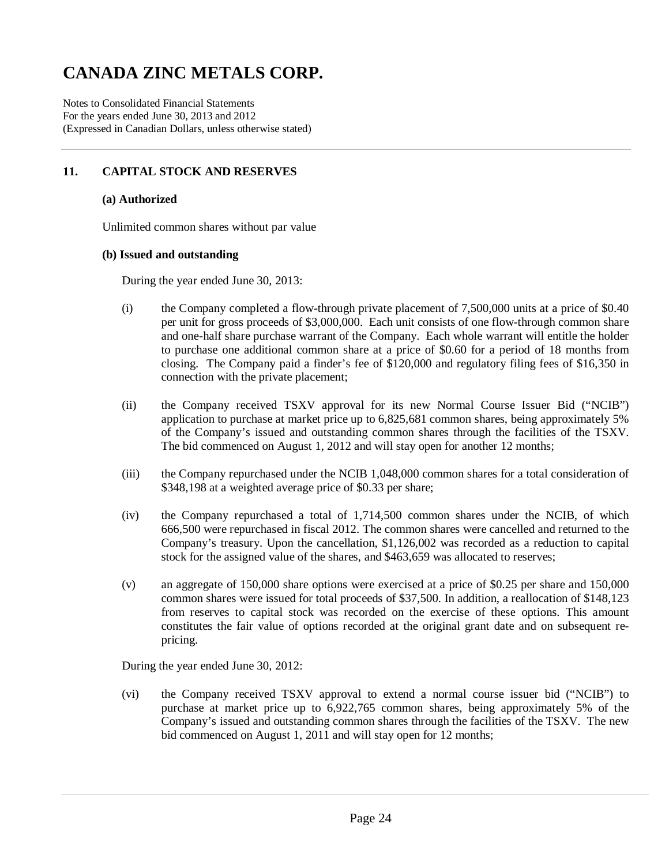Notes to Consolidated Financial Statements For the years ended June 30, 2013 and 2012 (Expressed in Canadian Dollars, unless otherwise stated)

# **11. CAPITAL STOCK AND RESERVES**

#### **(a) Authorized**

Unlimited common shares without par value

#### **(b) Issued and outstanding**

During the year ended June 30, 2013:

- (i) the Company completed a flow-through private placement of 7,500,000 units at a price of \$0.40 per unit for gross proceeds of \$3,000,000. Each unit consists of one flow-through common share and one-half share purchase warrant of the Company. Each whole warrant will entitle the holder to purchase one additional common share at a price of \$0.60 for a period of 18 months from closing. The Company paid a finder's fee of \$120,000 and regulatory filing fees of \$16,350 in connection with the private placement;
- (ii) the Company received TSXV approval for its new Normal Course Issuer Bid ("NCIB") application to purchase at market price up to 6,825,681 common shares, being approximately 5% of the Company's issued and outstanding common shares through the facilities of the TSXV. The bid commenced on August 1, 2012 and will stay open for another 12 months;
- (iii) the Company repurchased under the NCIB 1,048,000 common shares for a total consideration of \$348,198 at a weighted average price of \$0.33 per share;
- (iv) the Company repurchased a total of 1,714,500 common shares under the NCIB, of which 666,500 were repurchased in fiscal 2012. The common shares were cancelled and returned to the Company's treasury. Upon the cancellation, \$1,126,002 was recorded as a reduction to capital stock for the assigned value of the shares, and \$463,659 was allocated to reserves;
- (v) an aggregate of 150,000 share options were exercised at a price of \$0.25 per share and 150,000 common shares were issued for total proceeds of \$37,500. In addition, a reallocation of \$148,123 from reserves to capital stock was recorded on the exercise of these options. This amount constitutes the fair value of options recorded at the original grant date and on subsequent repricing.

During the year ended June 30, 2012:

(vi) the Company received TSXV approval to extend a normal course issuer bid ("NCIB") to purchase at market price up to 6,922,765 common shares, being approximately 5% of the Company's issued and outstanding common shares through the facilities of the TSXV. The new bid commenced on August 1, 2011 and will stay open for 12 months;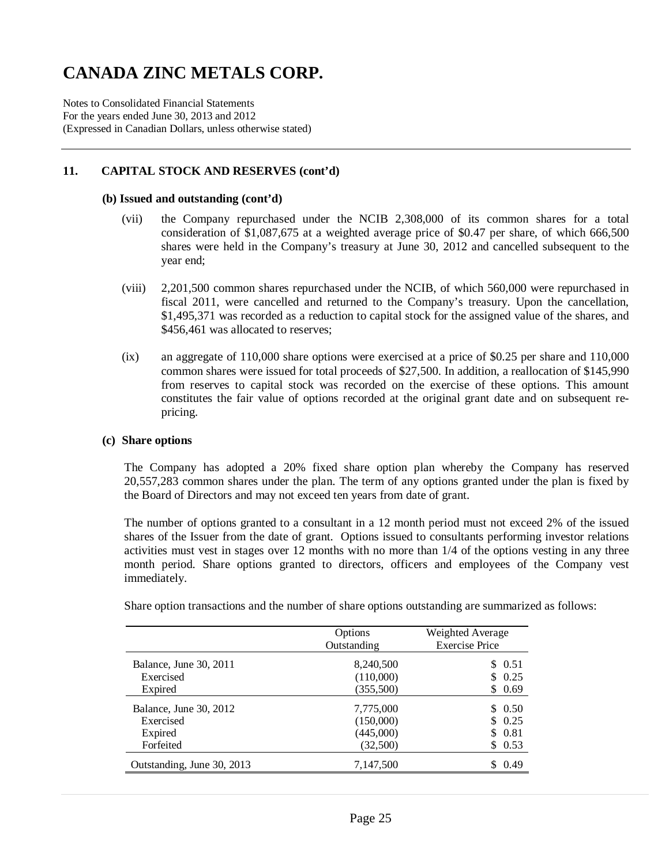Notes to Consolidated Financial Statements For the years ended June 30, 2013 and 2012 (Expressed in Canadian Dollars, unless otherwise stated)

### **11. CAPITAL STOCK AND RESERVES (cont'd)**

#### **(b) Issued and outstanding (cont'd)**

- (vii) the Company repurchased under the NCIB 2,308,000 of its common shares for a total consideration of \$1,087,675 at a weighted average price of \$0.47 per share, of which 666,500 shares were held in the Company's treasury at June 30, 2012 and cancelled subsequent to the year end;
- (viii) 2,201,500 common shares repurchased under the NCIB, of which 560,000 were repurchased in fiscal 2011, were cancelled and returned to the Company's treasury. Upon the cancellation, \$1,495,371 was recorded as a reduction to capital stock for the assigned value of the shares, and \$456,461 was allocated to reserves;
- (ix) an aggregate of 110,000 share options were exercised at a price of \$0.25 per share and 110,000 common shares were issued for total proceeds of \$27,500. In addition, a reallocation of \$145,990 from reserves to capital stock was recorded on the exercise of these options. This amount constitutes the fair value of options recorded at the original grant date and on subsequent repricing.

#### **(c) Share options**

The Company has adopted a 20% fixed share option plan whereby the Company has reserved 20,557,283 common shares under the plan. The term of any options granted under the plan is fixed by the Board of Directors and may not exceed ten years from date of grant.

The number of options granted to a consultant in a 12 month period must not exceed 2% of the issued shares of the Issuer from the date of grant. Options issued to consultants performing investor relations activities must vest in stages over 12 months with no more than 1/4 of the options vesting in any three month period. Share options granted to directors, officers and employees of the Company vest immediately.

|                            | Options<br>Outstanding | Weighted Average<br><b>Exercise Price</b> |
|----------------------------|------------------------|-------------------------------------------|
| Balance, June 30, 2011     | 8,240,500              | \$ 0.51                                   |
| Exercised                  | (110,000)              | 0.25<br>$\mathbb{S}$                      |
| Expired                    | (355,500)              | \$<br>0.69                                |
| Balance, June 30, 2012     | 7,775,000              | 0.50<br>S.                                |
| Exercised                  | (150,000)              | 0.25                                      |
| Expired                    | (445,000)              | \$<br>0.81                                |
| Forfeited                  | (32,500)               | \$.<br>0.53                               |
| Outstanding, June 30, 2013 | 7,147,500              | 0.49                                      |

Share option transactions and the number of share options outstanding are summarized as follows: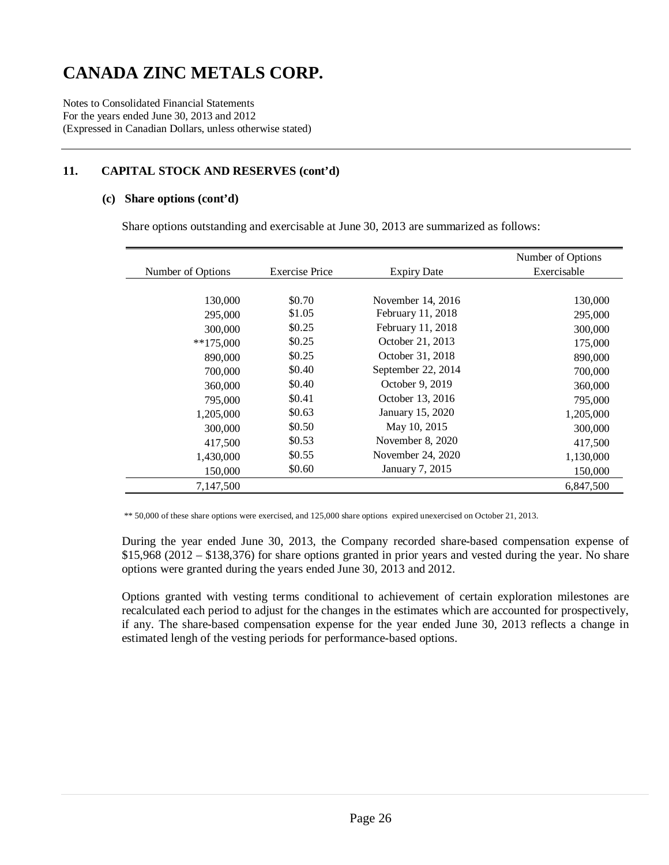Notes to Consolidated Financial Statements For the years ended June 30, 2013 and 2012 (Expressed in Canadian Dollars, unless otherwise stated)

# **11. CAPITAL STOCK AND RESERVES (cont'd)**

#### **(c) Share options (cont'd)**

Share options outstanding and exercisable at June 30, 2013 are summarized as follows:

|                   |                                             |                    | Number of Options |
|-------------------|---------------------------------------------|--------------------|-------------------|
| Number of Options | <b>Exercise Price</b><br><b>Expiry Date</b> |                    | Exercisable       |
|                   |                                             |                    |                   |
| 130,000           | \$0.70                                      | November 14, 2016  | 130,000           |
| 295,000           | \$1.05                                      | February 11, 2018  | 295,000           |
| 300,000           | \$0.25                                      | February 11, 2018  | 300,000           |
| $**175,000$       | \$0.25                                      | October 21, 2013   | 175,000           |
| 890,000           | \$0.25                                      | October 31, 2018   | 890,000           |
| 700,000           | \$0.40                                      | September 22, 2014 | 700,000           |
| 360,000           | \$0.40                                      | October 9, 2019    | 360,000           |
| 795,000           | \$0.41                                      | October 13, 2016   | 795,000           |
| 1,205,000         | \$0.63                                      | January 15, 2020   | 1,205,000         |
| 300,000           | \$0.50                                      | May 10, 2015       | 300,000           |
| 417,500           | \$0.53                                      | November 8, 2020   | 417,500           |
| 1,430,000         | \$0.55                                      | November 24, 2020  | 1,130,000         |
| 150,000           | \$0.60                                      | January 7, 2015    | 150,000           |
| 7,147,500         |                                             |                    | 6.847.500         |

\*\* 50,000 of these share options were exercised, and 125,000 share options expired unexercised on October 21, 2013.

During the year ended June 30, 2013, the Company recorded share-based compensation expense of \$15,968 (2012 – \$138,376) for share options granted in prior years and vested during the year. No share options were granted during the years ended June 30, 2013 and 2012.

Options granted with vesting terms conditional to achievement of certain exploration milestones are recalculated each period to adjust for the changes in the estimates which are accounted for prospectively, if any. The share-based compensation expense for the year ended June 30, 2013 reflects a change in estimated lengh of the vesting periods for performance-based options.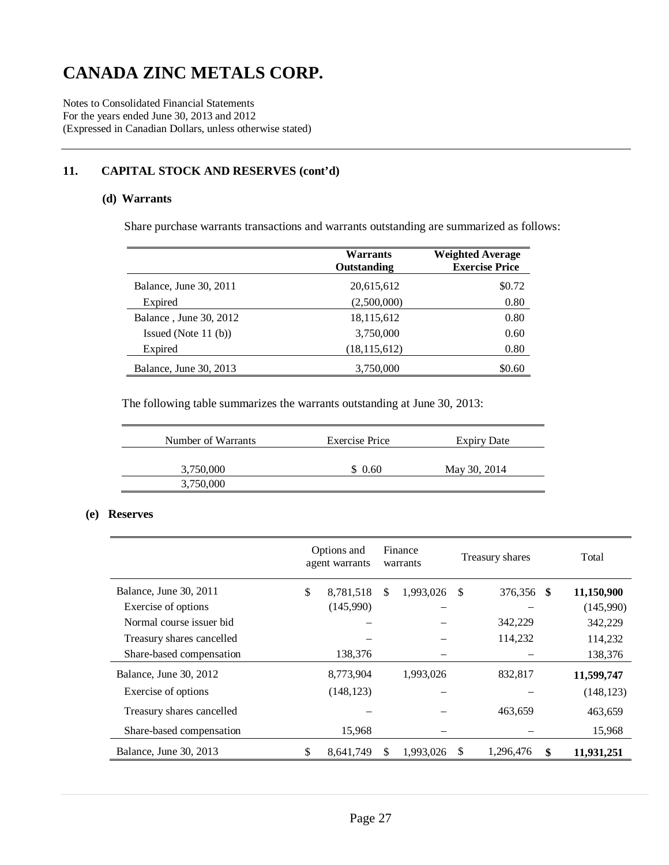Notes to Consolidated Financial Statements For the years ended June 30, 2013 and 2012 (Expressed in Canadian Dollars, unless otherwise stated)

# **11. CAPITAL STOCK AND RESERVES (cont'd)**

#### **(d) Warrants**

Share purchase warrants transactions and warrants outstanding are summarized as follows:

|                        | <b>Warrants</b><br>Outstanding | <b>Weighted Average</b><br><b>Exercise Price</b> |
|------------------------|--------------------------------|--------------------------------------------------|
| Balance, June 30, 2011 | 20,615,612                     | \$0.72                                           |
| Expired                | (2,500,000)                    | 0.80                                             |
| Balance, June 30, 2012 | 18,115,612                     | 0.80                                             |
| Issued (Note $11$ (b)) | 3,750,000                      | 0.60                                             |
| Expired                | (18, 115, 612)                 | 0.80                                             |
| Balance, June 30, 2013 | 3,750,000                      | \$0.60                                           |

The following table summarizes the warrants outstanding at June 30, 2013:

| Number of Warrants | <b>Exercise Price</b> | <b>Expiry Date</b> |
|--------------------|-----------------------|--------------------|
| 3,750,000          | \$0.60                | May 30, 2014       |
| 3,750,000          |                       |                    |
|                    |                       |                    |

### **(e) Reserves**

|                           | Options and<br>agent warrants |     | Finance<br>warrants |    | Treasury shares |    | Total      |
|---------------------------|-------------------------------|-----|---------------------|----|-----------------|----|------------|
| Balance, June 30, 2011    | \$<br>8,781,518               | \$. | 1,993,026           | -S | 376,356 \$      |    | 11,150,900 |
| Exercise of options       | (145,990)                     |     |                     |    |                 |    | (145,990)  |
| Normal course issuer bid  |                               |     |                     |    | 342,229         |    | 342,229    |
| Treasury shares cancelled |                               |     |                     |    | 114,232         |    | 114,232    |
| Share-based compensation  | 138,376                       |     |                     |    |                 |    | 138,376    |
| Balance, June 30, 2012    | 8,773,904                     |     | 1,993,026           |    | 832,817         |    | 11,599,747 |
| Exercise of options       | (148, 123)                    |     |                     |    |                 |    | (148, 123) |
| Treasury shares cancelled |                               |     |                     |    | 463,659         |    | 463,659    |
| Share-based compensation  | 15,968                        |     |                     |    |                 |    | 15,968     |
| Balance, June 30, 2013    | \$<br>8,641,749               | \$. | 1,993,026           | \$ | 1,296,476       | \$ | 11,931,251 |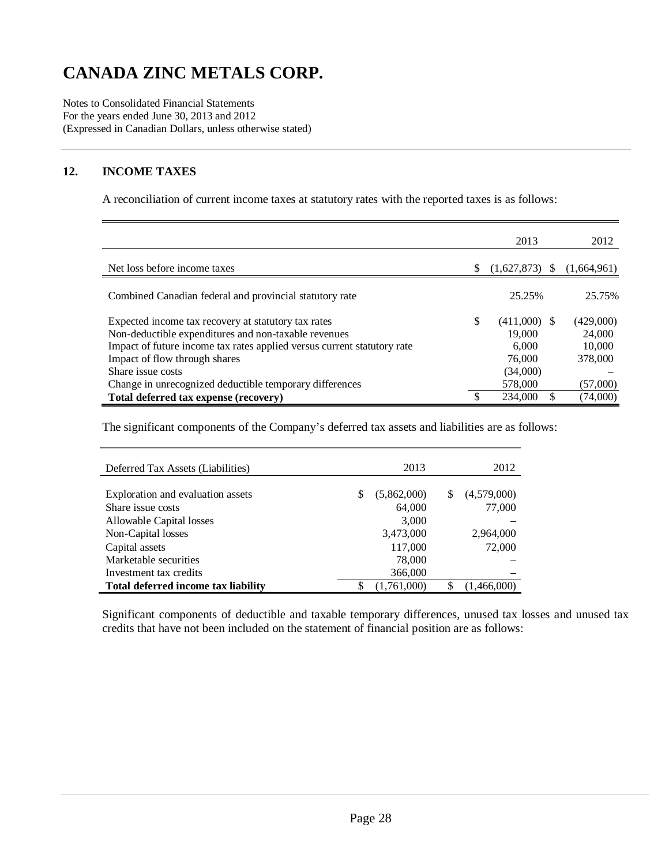Notes to Consolidated Financial Statements For the years ended June 30, 2013 and 2012 (Expressed in Canadian Dollars, unless otherwise stated)

# **12. INCOME TAXES**

A reconciliation of current income taxes at statutory rates with the reported taxes is as follows:

|                                                                         |    | 2013           |    | 2012        |
|-------------------------------------------------------------------------|----|----------------|----|-------------|
| Net loss before income taxes                                            | S  | (1,627,873)    | -S | (1,664,961) |
| Combined Canadian federal and provincial statutory rate                 |    | 25.25%         |    | 25.75%      |
| Expected income tax recovery at statutory tax rates                     | \$ | $(411,000)$ \$ |    | (429,000)   |
| Non-deductible expenditures and non-taxable revenues                    |    | 19.000         |    | 24,000      |
| Impact of future income tax rates applied versus current statutory rate |    | 6.000          |    | 10,000      |
| Impact of flow through shares                                           |    | 76,000         |    | 378,000     |
| Share issue costs                                                       |    | (34,000)       |    |             |
| Change in unrecognized deductible temporary differences                 |    | 578,000        |    | (57,000)    |
| Total deferred tax expense (recovery)                                   |    | 234,000        |    | (74,000)    |

The significant components of the Company's deferred tax assets and liabilities are as follows:

| Deferred Tax Assets (Liabilities)   |    | 2013        |   | 2012        |
|-------------------------------------|----|-------------|---|-------------|
|                                     |    |             |   |             |
| Exploration and evaluation assets   | \$ | (5,862,000) | S | (4,579,000) |
| Share issue costs                   |    | 64,000      |   | 77,000      |
| Allowable Capital losses            |    | 3,000       |   |             |
| Non-Capital losses                  |    | 3,473,000   |   | 2,964,000   |
| Capital assets                      |    | 117,000     |   | 72,000      |
| Marketable securities               |    | 78,000      |   |             |
| Investment tax credits              |    | 366,000     |   |             |
| Total deferred income tax liability | ╓  | (1,761,000) |   | (1,466,000) |

 Significant components of deductible and taxable temporary differences, unused tax losses and unused tax credits that have not been included on the statement of financial position are as follows: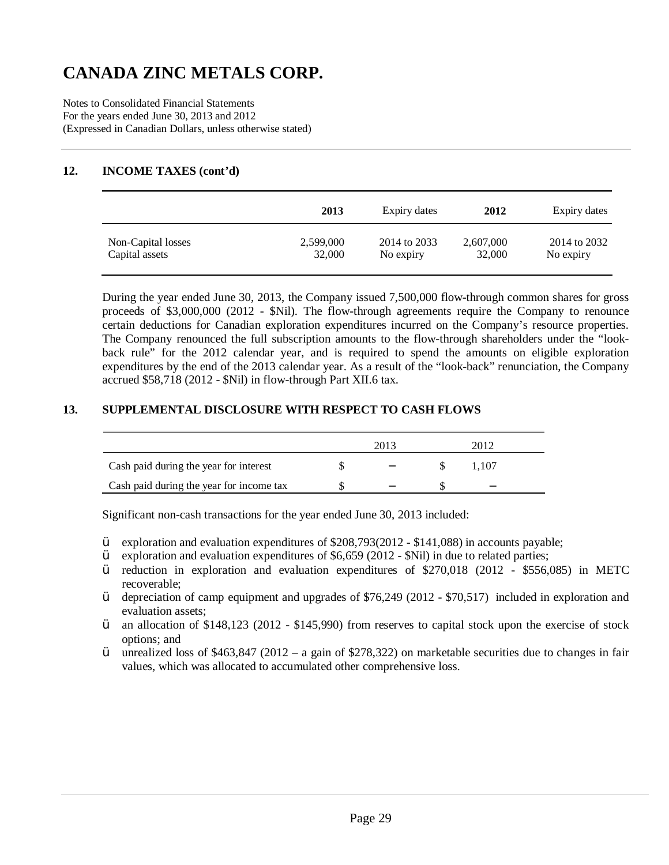Notes to Consolidated Financial Statements For the years ended June 30, 2013 and 2012 (Expressed in Canadian Dollars, unless otherwise stated)

### **12. INCOME TAXES (cont'd)**

|                    | 2013      | Expiry dates | 2012      | Expiry dates |
|--------------------|-----------|--------------|-----------|--------------|
| Non-Capital losses | 2,599,000 | 2014 to 2033 | 2,607,000 | 2014 to 2032 |
| Capital assets     | 32,000    | No expiry    | 32,000    | No expiry    |

During the year ended June 30, 2013, the Company issued 7,500,000 flow-through common shares for gross proceeds of \$3,000,000 (2012 - \$Nil). The flow-through agreements require the Company to renounce certain deductions for Canadian exploration expenditures incurred on the Company's resource properties. The Company renounced the full subscription amounts to the flow-through shareholders under the "lookback rule" for the 2012 calendar year, and is required to spend the amounts on eligible exploration expenditures by the end of the 2013 calendar year. As a result of the "look-back" renunciation, the Company accrued \$58,718 (2012 - \$Nil) in flow-through Part XII.6 tax.

### **13. SUPPLEMENTAL DISCLOSURE WITH RESPECT TO CASH FLOWS**

|                                          | 2013 |       |  |
|------------------------------------------|------|-------|--|
| Cash paid during the year for interest   | $-$  | 1.107 |  |
| Cash paid during the year for income tax |      | -     |  |

Significant non-cash transactions for the year ended June 30, 2013 included:

- Ÿ exploration and evaluation expenditures of \$208,793(2012 \$141,088) in accounts payable;
- $\ddot{Y}$  exploration and evaluation expenditures of \$6,659 (2012 \$Nil) in due to related parties;
- Ÿ reduction in exploration and evaluation expenditures of \$270,018 (2012 \$556,085) in METC recoverable;
- Ÿ depreciation of camp equipment and upgrades of \$76,249 (2012 \$70,517) included in exploration and evaluation assets;
- Ÿ an allocation of \$148,123 (2012 \$145,990) from reserves to capital stock upon the exercise of stock options; and
- $\ddot{Y}$  unrealized loss of \$463,847 (2012 a gain of \$278,322) on marketable securities due to changes in fair values, which was allocated to accumulated other comprehensive loss.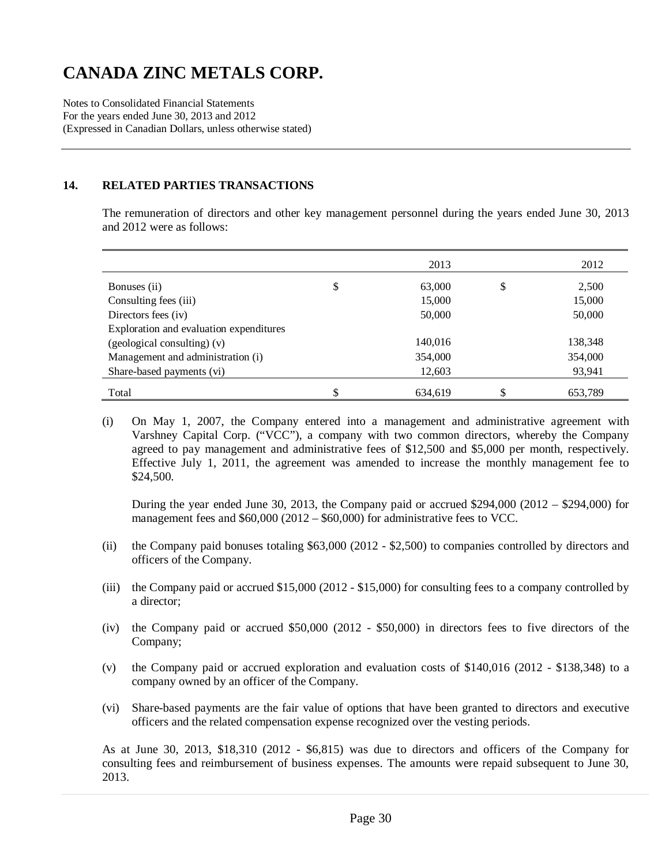Notes to Consolidated Financial Statements For the years ended June 30, 2013 and 2012 (Expressed in Canadian Dollars, unless otherwise stated)

#### **14. RELATED PARTIES TRANSACTIONS**

The remuneration of directors and other key management personnel during the years ended June 30, 2013 and 2012 were as follows:

|                                         | 2013         | 2012        |
|-----------------------------------------|--------------|-------------|
| Bonuses (ii)                            | \$<br>63,000 | \$<br>2,500 |
| Consulting fees (iii)                   | 15,000       | 15,000      |
| Directors fees (iv)                     | 50,000       | 50,000      |
| Exploration and evaluation expenditures |              |             |
| (geological consulting) (v)             | 140,016      | 138,348     |
| Management and administration (i)       | 354,000      | 354,000     |
| Share-based payments (vi)               | 12,603       | 93,941      |
| Total                                   | 634.619      | 653,789     |

<sup>(</sup>i) On May 1, 2007, the Company entered into a management and administrative agreement with Varshney Capital Corp. ("VCC"), a company with two common directors, whereby the Company agreed to pay management and administrative fees of \$12,500 and \$5,000 per month, respectively. Effective July 1, 2011, the agreement was amended to increase the monthly management fee to \$24,500.

During the year ended June 30, 2013, the Company paid or accrued  $$294,000 (2012 - $294,000)$  for management fees and \$60,000 (2012 – \$60,000) for administrative fees to VCC.

- (ii) the Company paid bonuses totaling \$63,000 (2012 \$2,500) to companies controlled by directors and officers of the Company.
- (iii) the Company paid or accrued \$15,000 (2012 \$15,000) for consulting fees to a company controlled by a director;
- (iv) the Company paid or accrued \$50,000 (2012 \$50,000) in directors fees to five directors of the Company;
- (v) the Company paid or accrued exploration and evaluation costs of \$140,016 (2012 \$138,348) to a company owned by an officer of the Company.
- (vi) Share-based payments are the fair value of options that have been granted to directors and executive officers and the related compensation expense recognized over the vesting periods.

As at June 30, 2013, \$18,310 (2012 - \$6,815) was due to directors and officers of the Company for consulting fees and reimbursement of business expenses. The amounts were repaid subsequent to June 30, 2013.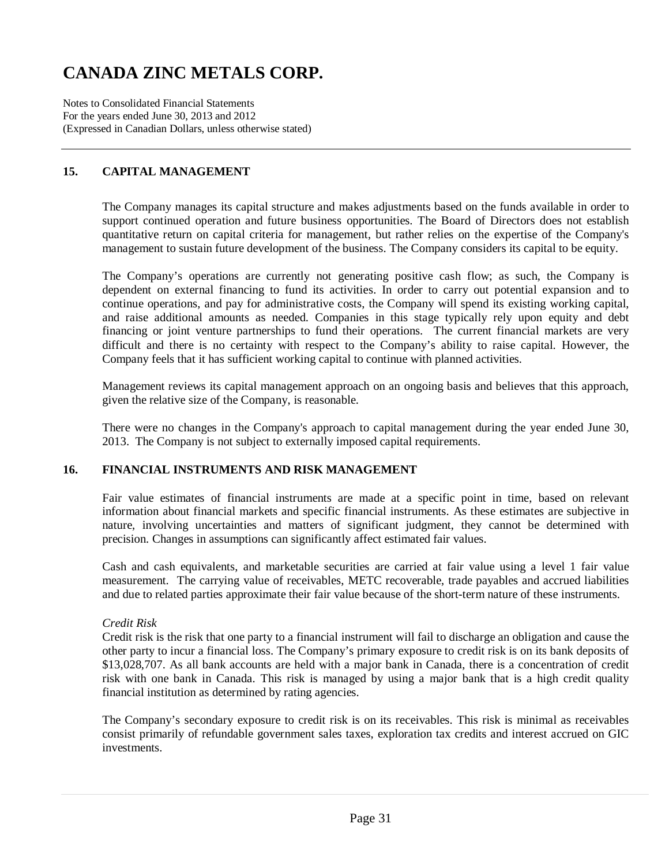Notes to Consolidated Financial Statements For the years ended June 30, 2013 and 2012 (Expressed in Canadian Dollars, unless otherwise stated)

# **15. CAPITAL MANAGEMENT**

The Company manages its capital structure and makes adjustments based on the funds available in order to support continued operation and future business opportunities. The Board of Directors does not establish quantitative return on capital criteria for management, but rather relies on the expertise of the Company's management to sustain future development of the business. The Company considers its capital to be equity.

The Company's operations are currently not generating positive cash flow; as such, the Company is dependent on external financing to fund its activities. In order to carry out potential expansion and to continue operations, and pay for administrative costs, the Company will spend its existing working capital, and raise additional amounts as needed. Companies in this stage typically rely upon equity and debt financing or joint venture partnerships to fund their operations. The current financial markets are very difficult and there is no certainty with respect to the Company's ability to raise capital. However, the Company feels that it has sufficient working capital to continue with planned activities.

Management reviews its capital management approach on an ongoing basis and believes that this approach, given the relative size of the Company, is reasonable.

There were no changes in the Company's approach to capital management during the year ended June 30, 2013. The Company is not subject to externally imposed capital requirements.

### **16. FINANCIAL INSTRUMENTS AND RISK MANAGEMENT**

Fair value estimates of financial instruments are made at a specific point in time, based on relevant information about financial markets and specific financial instruments. As these estimates are subjective in nature, involving uncertainties and matters of significant judgment, they cannot be determined with precision. Changes in assumptions can significantly affect estimated fair values.

Cash and cash equivalents, and marketable securities are carried at fair value using a level 1 fair value measurement. The carrying value of receivables, METC recoverable, trade payables and accrued liabilities and due to related parties approximate their fair value because of the short-term nature of these instruments.

### *Credit Risk*

Credit risk is the risk that one party to a financial instrument will fail to discharge an obligation and cause the other party to incur a financial loss. The Company's primary exposure to credit risk is on its bank deposits of \$13,028,707. As all bank accounts are held with a major bank in Canada, there is a concentration of credit risk with one bank in Canada. This risk is managed by using a major bank that is a high credit quality financial institution as determined by rating agencies.

The Company's secondary exposure to credit risk is on its receivables. This risk is minimal as receivables consist primarily of refundable government sales taxes, exploration tax credits and interest accrued on GIC investments.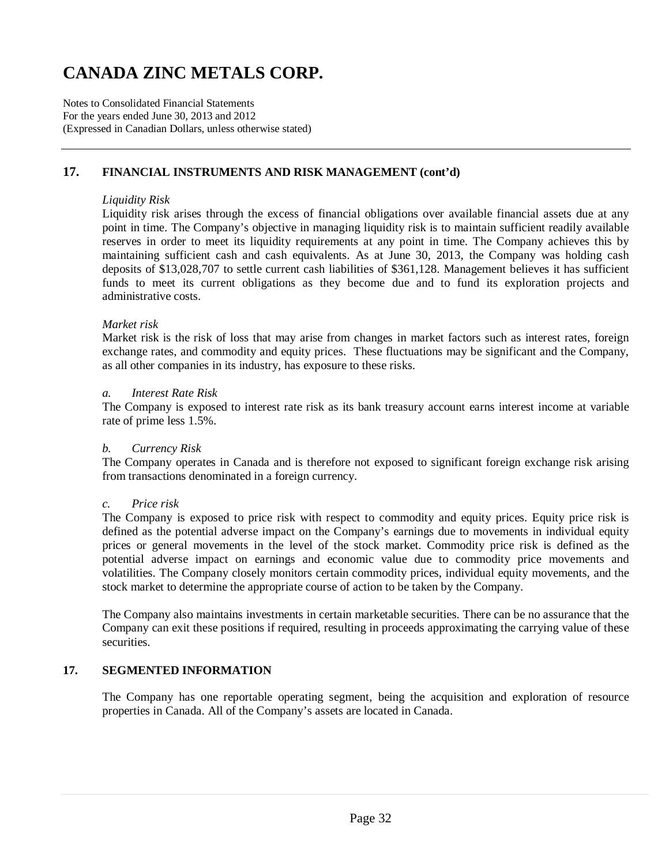Notes to Consolidated Financial Statements For the years ended June 30, 2013 and 2012 (Expressed in Canadian Dollars, unless otherwise stated)

### **17. FINANCIAL INSTRUMENTS AND RISK MANAGEMENT (cont'd)**

#### *Liquidity Risk*

Liquidity risk arises through the excess of financial obligations over available financial assets due at any point in time. The Company's objective in managing liquidity risk is to maintain sufficient readily available reserves in order to meet its liquidity requirements at any point in time. The Company achieves this by maintaining sufficient cash and cash equivalents. As at June 30, 2013, the Company was holding cash deposits of \$13,028,707 to settle current cash liabilities of \$361,128. Management believes it has sufficient funds to meet its current obligations as they become due and to fund its exploration projects and administrative costs.

#### *Market risk*

Market risk is the risk of loss that may arise from changes in market factors such as interest rates, foreign exchange rates, and commodity and equity prices. These fluctuations may be significant and the Company, as all other companies in its industry, has exposure to these risks.

#### *a. Interest Rate Risk*

The Company is exposed to interest rate risk as its bank treasury account earns interest income at variable rate of prime less 1.5%.

#### *b. Currency Risk*

The Company operates in Canada and is therefore not exposed to significant foreign exchange risk arising from transactions denominated in a foreign currency.

#### *c. Price risk*

The Company is exposed to price risk with respect to commodity and equity prices. Equity price risk is defined as the potential adverse impact on the Company's earnings due to movements in individual equity prices or general movements in the level of the stock market. Commodity price risk is defined as the potential adverse impact on earnings and economic value due to commodity price movements and volatilities. The Company closely monitors certain commodity prices, individual equity movements, and the stock market to determine the appropriate course of action to be taken by the Company.

The Company also maintains investments in certain marketable securities. There can be no assurance that the Company can exit these positions if required, resulting in proceeds approximating the carrying value of these securities.

### **17. SEGMENTED INFORMATION**

The Company has one reportable operating segment, being the acquisition and exploration of resource properties in Canada. All of the Company's assets are located in Canada.